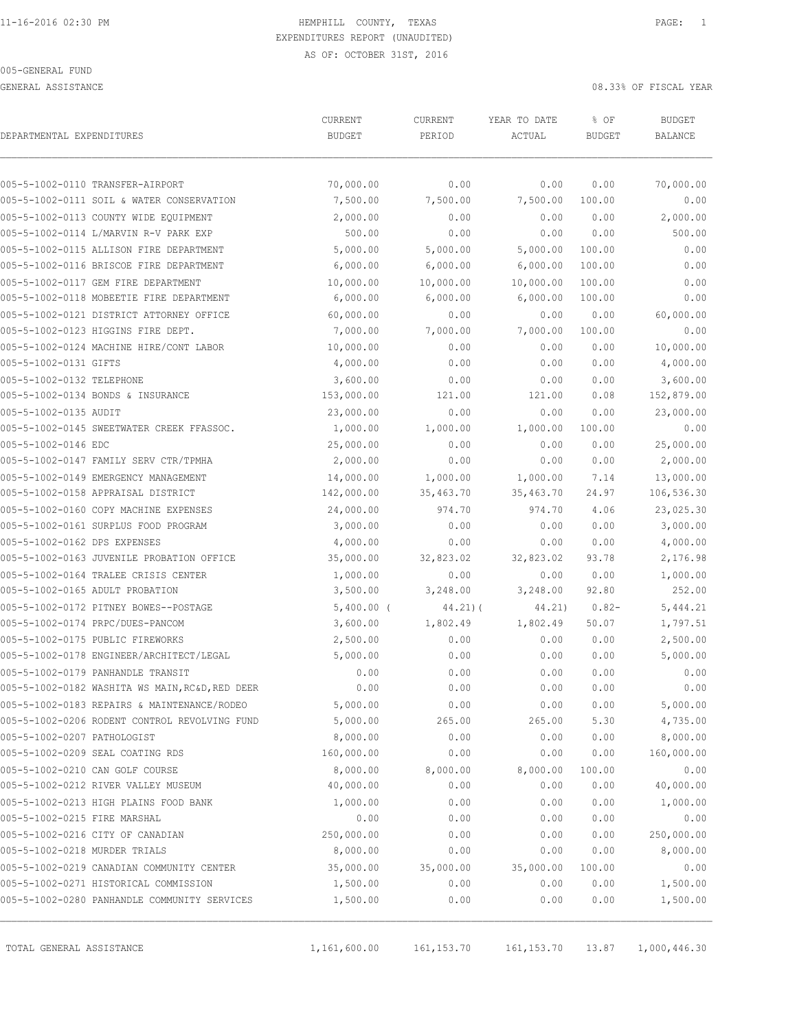GENERAL ASSISTANCE 08.33% OF FISCAL YEAR

| DEPARTMENTAL EXPENDITURES     | <b>CURRENT</b>                                  | <b>CURRENT</b> | YEAR TO DATE | % OF          | <b>BUDGET</b>  |            |
|-------------------------------|-------------------------------------------------|----------------|--------------|---------------|----------------|------------|
|                               | <b>BUDGET</b>                                   | PERIOD         | ACTUAL       | <b>BUDGET</b> | <b>BALANCE</b> |            |
|                               | 005-5-1002-0110 TRANSFER-AIRPORT                | 70,000.00      | 0.00         | 0.00          | 0.00           | 70,000.00  |
|                               | 005-5-1002-0111 SOIL & WATER CONSERVATION       | 7,500.00       | 7,500.00     | 7,500.00      | 100.00         | 0.00       |
|                               | 005-5-1002-0113 COUNTY WIDE EQUIPMENT           | 2,000.00       | 0.00         | 0.00          | 0.00           | 2,000.00   |
|                               | 005-5-1002-0114 L/MARVIN R-V PARK EXP           | 500.00         | 0.00         | 0.00          | 0.00           | 500.00     |
|                               | 005-5-1002-0115 ALLISON FIRE DEPARTMENT         | 5,000.00       | 5,000.00     | 5,000.00      | 100.00         | 0.00       |
|                               | 005-5-1002-0116 BRISCOE FIRE DEPARTMENT         | 6,000.00       | 6,000.00     | 6,000.00      | 100.00         | 0.00       |
|                               | 005-5-1002-0117 GEM FIRE DEPARTMENT             | 10,000.00      | 10,000.00    | 10,000.00     | 100.00         | 0.00       |
|                               | 005-5-1002-0118 MOBEETIE FIRE DEPARTMENT        | 6,000.00       | 6,000.00     | 6,000.00      | 100.00         | 0.00       |
|                               | 005-5-1002-0121 DISTRICT ATTORNEY OFFICE        | 60,000.00      | 0.00         | 0.00          | 0.00           | 60,000.00  |
|                               | 005-5-1002-0123 HIGGINS FIRE DEPT.              | 7,000.00       | 7,000.00     | 7,000.00      | 100.00         | 0.00       |
|                               | 005-5-1002-0124 MACHINE HIRE/CONT LABOR         | 10,000.00      | 0.00         | 0.00          | 0.00           | 10,000.00  |
| 005-5-1002-0131 GIFTS         |                                                 | 4,000.00       | 0.00         | 0.00          | 0.00           | 4,000.00   |
| 005-5-1002-0132 TELEPHONE     |                                                 | 3,600.00       | 0.00         | 0.00          | 0.00           | 3,600.00   |
|                               | 005-5-1002-0134 BONDS & INSURANCE               | 153,000.00     | 121.00       | 121.00        | 0.08           | 152,879.00 |
| 005-5-1002-0135 AUDIT         |                                                 | 23,000.00      | 0.00         | 0.00          | 0.00           | 23,000.00  |
|                               | 005-5-1002-0145 SWEETWATER CREEK FFASSOC.       | 1,000.00       | 1,000.00     | 1,000.00      | 100.00         | 0.00       |
| 005-5-1002-0146 EDC           |                                                 | 25,000.00      | 0.00         | 0.00          | 0.00           | 25,000.00  |
|                               | 005-5-1002-0147 FAMILY SERV CTR/TPMHA           | 2,000.00       | 0.00         | 0.00          | 0.00           | 2,000.00   |
|                               | 005-5-1002-0149 EMERGENCY MANAGEMENT            | 14,000.00      | 1,000.00     | 1,000.00      | 7.14           | 13,000.00  |
|                               | 005-5-1002-0158 APPRAISAL DISTRICT              | 142,000.00     | 35,463.70    | 35,463.70     | 24.97          | 106,536.30 |
|                               | 005-5-1002-0160 COPY MACHINE EXPENSES           | 24,000.00      | 974.70       | 974.70        | 4.06           | 23,025.30  |
|                               | 005-5-1002-0161 SURPLUS FOOD PROGRAM            | 3,000.00       | 0.00         | 0.00          | 0.00           | 3,000.00   |
| 005-5-1002-0162 DPS EXPENSES  |                                                 | 4,000.00       | 0.00         | 0.00          | 0.00           | 4,000.00   |
|                               | 005-5-1002-0163 JUVENILE PROBATION OFFICE       | 35,000.00      | 32,823.02    | 32,823.02     | 93.78          | 2,176.98   |
|                               | 005-5-1002-0164 TRALEE CRISIS CENTER            | 1,000.00       | 0.00         | 0.00          | 0.00           | 1,000.00   |
|                               | 005-5-1002-0165 ADULT PROBATION                 | 3,500.00       | 3,248.00     | 3,248.00      | 92.80          | 252.00     |
|                               | 005-5-1002-0172 PITNEY BOWES--POSTAGE           | $5,400.00$ (   | $44.21$ ) (  | 44.21)        | $0.82 -$       | 5,444.21   |
|                               | 005-5-1002-0174 PRPC/DUES-PANCOM                | 3,600.00       | 1,802.49     | 1,802.49      | 50.07          | 1,797.51   |
|                               | 005-5-1002-0175 PUBLIC FIREWORKS                | 2,500.00       | 0.00         | 0.00          | 0.00           | 2,500.00   |
|                               | 005-5-1002-0178 ENGINEER/ARCHITECT/LEGAL        | 5,000.00       | 0.00         | 0.00          | 0.00           | 5,000.00   |
|                               | 005-5-1002-0179 PANHANDLE TRANSIT               | 0.00           | 0.00         | 0.00          | 0.00           | 0.00       |
|                               | 005-5-1002-0182 WASHITA WS MAIN, RC&D, RED DEER | 0.00           | 0.00         | 0.00          | 0.00           | 0.00       |
|                               | 005-5-1002-0183 REPAIRS & MAINTENANCE/RODEO     | 5,000.00       | 0.00         | 0.00          | 0.00           | 5,000.00   |
|                               | 005-5-1002-0206 RODENT CONTROL REVOLVING FUND   | 5,000.00       | 265.00       | 265.00        | 5.30           | 4,735.00   |
| 005-5-1002-0207 PATHOLOGIST   |                                                 | 8,000.00       | 0.00         | 0.00          | 0.00           | 8,000.00   |
|                               | 005-5-1002-0209 SEAL COATING RDS                | 160,000.00     | 0.00         | 0.00          | 0.00           | 160,000.00 |
|                               | 005-5-1002-0210 CAN GOLF COURSE                 | 8,000.00       | 8,000.00     | 8,000.00      | 100.00         | 0.00       |
|                               | 005-5-1002-0212 RIVER VALLEY MUSEUM             | 40,000.00      | 0.00         | 0.00          | 0.00           | 40,000.00  |
|                               | 005-5-1002-0213 HIGH PLAINS FOOD BANK           | 1,000.00       | 0.00         | 0.00          | 0.00           | 1,000.00   |
| 005-5-1002-0215 FIRE MARSHAL  |                                                 | 0.00           | 0.00         | 0.00          | 0.00           | 0.00       |
|                               | 005-5-1002-0216 CITY OF CANADIAN                | 250,000.00     | 0.00         | 0.00          | 0.00           | 250,000.00 |
| 005-5-1002-0218 MURDER TRIALS |                                                 | 8,000.00       | 0.00         | 0.00          | 0.00           | 8,000.00   |
|                               | 005-5-1002-0219 CANADIAN COMMUNITY CENTER       | 35,000.00      | 35,000.00    | 35,000.00     | 100.00         | 0.00       |
|                               | 005-5-1002-0271 HISTORICAL COMMISSION           | 1,500.00       | 0.00         | 0.00          | 0.00           | 1,500.00   |
|                               | 005-5-1002-0280 PANHANDLE COMMUNITY SERVICES    | 1,500.00       | 0.00         | 0.00          | 0.00           | 1,500.00   |

TOTAL GENERAL ASSISTANCE 1,161,600.00 161,153.70 161,153.70 13.87 1,000,446.30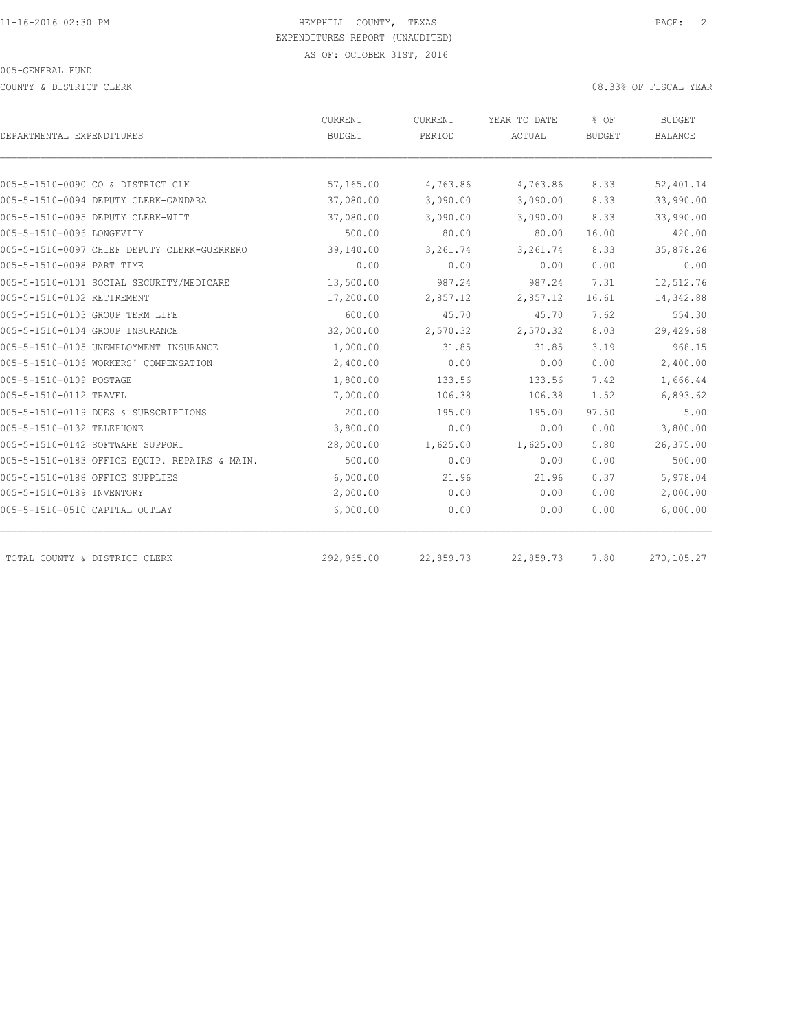COUNTY & DISTRICT CLERK 08.33% OF FISCAL YEAR

| DEPARTMENTAL EXPENDITURES                                                 | CURRENT<br><b>BUDGET</b> | CURRENT<br>PERIOD    | YEAR TO DATE<br><b>ACTUAL</b> | % OF<br><b>BUDGET</b> | BUDGET<br><b>BALANCE</b> |
|---------------------------------------------------------------------------|--------------------------|----------------------|-------------------------------|-----------------------|--------------------------|
|                                                                           |                          |                      |                               |                       |                          |
|                                                                           |                          |                      |                               |                       |                          |
| 005-5-1510-0090 CO & DISTRICT CLK<br>005-5-1510-0094 DEPUTY CLERK-GANDARA | 57,165.00<br>37,080.00   | 4,763.86<br>3,090.00 | 4,763.86<br>3,090.00          | 8.33<br>8.33          | 52,401.14<br>33,990.00   |
|                                                                           |                          | 3,090.00             | 3,090.00                      | 8.33                  | 33,990.00                |
| 005-5-1510-0095 DEPUTY CLERK-WITT                                         | 37,080.00                |                      |                               |                       |                          |
| 005-5-1510-0096 LONGEVITY                                                 | 500.00                   | 80.00                | 80.00                         | 16.00                 | 420.00                   |
| 005-5-1510-0097 CHIEF DEPUTY CLERK-GUERRERO                               | 39,140.00                | 3,261.74             | 3,261.74                      | 8.33                  | 35,878.26                |
| 005-5-1510-0098 PART TIME                                                 | 0.00                     | 0.00                 | 0.00                          | 0.00                  | 0.00                     |
| 005-5-1510-0101 SOCIAL SECURITY/MEDICARE                                  | 13,500.00                | 987.24               | 987.24                        | 7.31                  | 12,512.76                |
| 005-5-1510-0102 RETIREMENT                                                | 17,200.00                | 2,857.12             | 2,857.12                      | 16.61                 | 14,342.88                |
| 005-5-1510-0103 GROUP TERM LIFE                                           | 600.00                   | 45.70                | 45.70                         | 7.62                  | 554.30                   |
| 005-5-1510-0104 GROUP INSURANCE                                           | 32,000.00                | 2,570.32             | 2,570.32                      | 8.03                  | 29,429.68                |
| 005-5-1510-0105 UNEMPLOYMENT INSURANCE                                    | 1,000.00                 | 31.85                | 31.85                         | 3.19                  | 968.15                   |
| 005-5-1510-0106 WORKERS' COMPENSATION                                     | 2,400.00                 | 0.00                 | 0.00                          | 0.00                  | 2,400.00                 |
| 005-5-1510-0109 POSTAGE                                                   | 1,800.00                 | 133.56               | 133.56                        | 7.42                  | 1,666.44                 |
| 005-5-1510-0112 TRAVEL                                                    | 7,000.00                 | 106.38               | 106.38                        | 1.52                  | 6,893.62                 |
| 005-5-1510-0119 DUES & SUBSCRIPTIONS                                      | 200.00                   | 195.00               | 195.00                        | 97.50                 | 5.00                     |
| 005-5-1510-0132 TELEPHONE                                                 | 3,800.00                 | 0.00                 | 0.00                          | 0.00                  | 3,800.00                 |
| 005-5-1510-0142 SOFTWARE SUPPORT                                          | 28,000.00                | 1,625.00             | 1,625.00                      | 5.80                  | 26,375.00                |
| 005-5-1510-0183 OFFICE EQUIP. REPAIRS & MAIN.                             | 500.00                   | 0.00                 | 0.00                          | 0.00                  | 500.00                   |
| 005-5-1510-0188 OFFICE SUPPLIES                                           | 6,000.00                 | 21.96                | 21.96                         | 0.37                  | 5,978.04                 |
| 005-5-1510-0189 INVENTORY                                                 | 2,000.00                 | 0.00                 | 0.00                          | 0.00                  | 2,000.00                 |
| 005-5-1510-0510 CAPITAL OUTLAY                                            | 6,000.00                 | 0.00                 | 0.00                          | 0.00                  | 6,000.00                 |
| TOTAL COUNTY & DISTRICT CLERK                                             | 292,965.00               | 22,859.73            | 22,859.73                     | 7.80                  | 270,105.27               |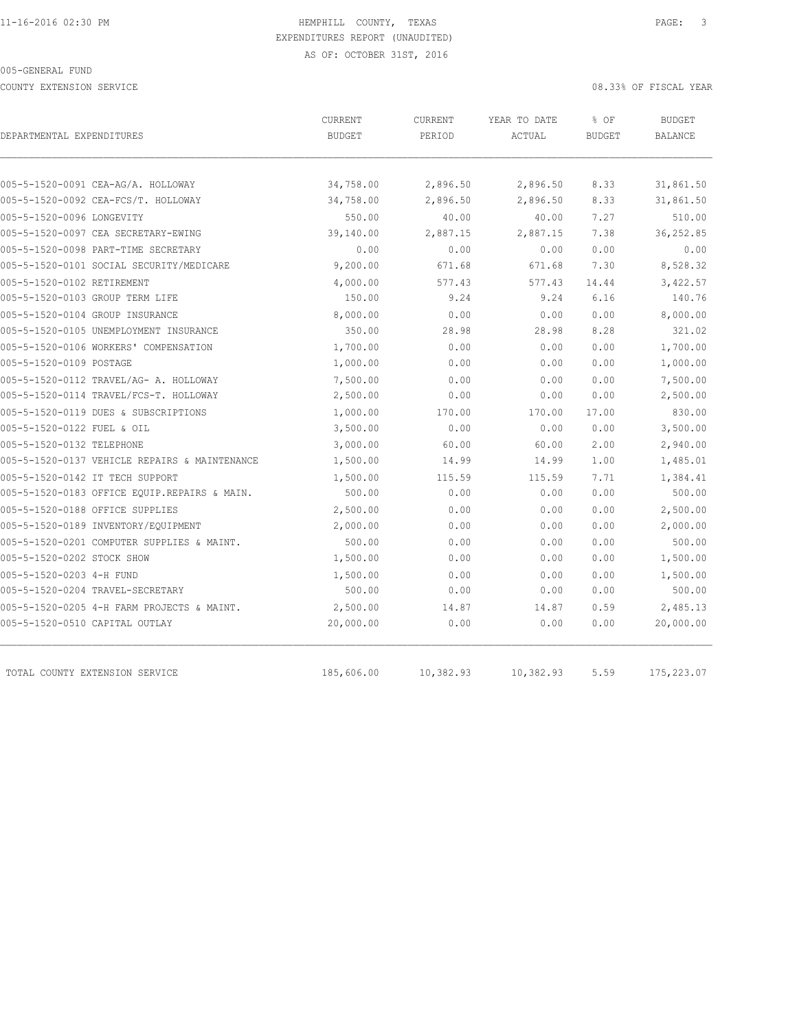COUNTY EXTENSION SERVICE 08.33% OF FISCAL YEAR

| DEPARTMENTAL EXPENDITURES                     | CURRENT<br><b>BUDGET</b> | <b>CURRENT</b><br>PERIOD | YEAR TO DATE<br>ACTUAL | % OF<br><b>BUDGET</b> | <b>BUDGET</b><br>BALANCE |
|-----------------------------------------------|--------------------------|--------------------------|------------------------|-----------------------|--------------------------|
|                                               |                          |                          |                        |                       |                          |
| 005-5-1520-0091 CEA-AG/A. HOLLOWAY            | 34,758.00                | 2,896.50                 | 2,896.50               | 8.33                  | 31,861.50                |
| 005-5-1520-0092 CEA-FCS/T. HOLLOWAY           | 34,758.00                | 2,896.50                 | 2,896.50               | 8.33                  | 31,861.50                |
| 005-5-1520-0096 LONGEVITY                     | 550.00                   | 40.00                    | 40.00                  | 7.27<br>7.38          | 510.00                   |
| 005-5-1520-0097 CEA SECRETARY-EWING           | 39,140.00                | 2,887.15                 | 2,887.15               |                       | 36,252.85                |
| 005-5-1520-0098 PART-TIME SECRETARY           | 0.00                     | 0.00                     | 0.00                   | 0.00                  | 0.00                     |
| 005-5-1520-0101 SOCIAL SECURITY/MEDICARE      | 9,200.00                 | 671.68                   | 671.68                 | 7.30                  | 8,528.32                 |
| 005-5-1520-0102 RETIREMENT                    | 4,000.00                 | 577.43                   | 577.43                 | 14.44                 | 3,422.57                 |
| 005-5-1520-0103 GROUP TERM LIFE               | 150.00                   | 9.24                     | 9.24                   | 6.16                  | 140.76                   |
| 005-5-1520-0104 GROUP INSURANCE               | 8,000.00                 | 0.00                     | 0.00                   | 0.00                  | 8,000.00                 |
| 005-5-1520-0105 UNEMPLOYMENT INSURANCE        | 350.00                   | 28.98                    | 28.98                  | 8.28                  | 321.02                   |
| 005-5-1520-0106 WORKERS' COMPENSATION         | 1,700.00                 | 0.00                     | 0.00                   | 0.00                  | 1,700.00                 |
| 005-5-1520-0109 POSTAGE                       | 1,000.00                 | 0.00                     | 0.00                   | 0.00                  | 1,000.00                 |
| 005-5-1520-0112 TRAVEL/AG- A. HOLLOWAY        | 7,500.00                 | 0.00                     | 0.00                   | 0.00                  | 7,500.00                 |
| 005-5-1520-0114 TRAVEL/FCS-T. HOLLOWAY        | 2,500.00                 | 0.00                     | 0.00                   | 0.00                  | 2,500.00                 |
| 005-5-1520-0119 DUES & SUBSCRIPTIONS          | 1,000.00                 | 170.00                   | 170.00                 | 17.00                 | 830.00                   |
| 005-5-1520-0122 FUEL & OIL                    | 3,500.00                 | 0.00                     | 0.00                   | 0.00                  | 3,500.00                 |
| 005-5-1520-0132 TELEPHONE                     | 3,000.00                 | 60.00                    | 60.00                  | 2.00                  | 2,940.00                 |
| 005-5-1520-0137 VEHICLE REPAIRS & MAINTENANCE | 1,500.00                 | 14.99                    | 14.99                  | 1.00                  | 1,485.01                 |
| 005-5-1520-0142 IT TECH SUPPORT               | 1,500.00                 | 115.59                   | 115.59                 | 7.71                  | 1,384.41                 |
| 005-5-1520-0183 OFFICE EQUIP.REPAIRS & MAIN.  | 500.00                   | 0.00                     | 0.00                   | 0.00                  | 500.00                   |
| 005-5-1520-0188 OFFICE SUPPLIES               | 2,500.00                 | 0.00                     | 0.00                   | 0.00                  | 2,500.00                 |
| 005-5-1520-0189 INVENTORY/EQUIPMENT           | 2,000.00                 | 0.00                     | 0.00                   | 0.00                  | 2,000.00                 |
| 005-5-1520-0201 COMPUTER SUPPLIES & MAINT.    | 500.00                   | 0.00                     | 0.00                   | 0.00                  | 500.00                   |
| 005-5-1520-0202 STOCK SHOW                    | 1,500.00                 | 0.00                     | 0.00                   | 0.00                  | 1,500.00                 |
| 005-5-1520-0203 4-H FUND                      | 1,500.00                 | 0.00                     | 0.00                   | 0.00                  | 1,500.00                 |
| 005-5-1520-0204 TRAVEL-SECRETARY              | 500.00                   | 0.00                     | 0.00                   | 0.00                  | 500.00                   |
| 005-5-1520-0205 4-H FARM PROJECTS & MAINT.    | 2,500.00                 | 14.87                    | 14.87                  | 0.59                  | 2,485.13                 |
| 005-5-1520-0510 CAPITAL OUTLAY                | 20,000.00                | 0.00                     | 0.00                   | 0.00                  | 20,000.00                |
| TOTAL COUNTY EXTENSION SERVICE                | 185,606.00               | 10,382.93                | 10,382.93              | 5.59                  | 175,223.07               |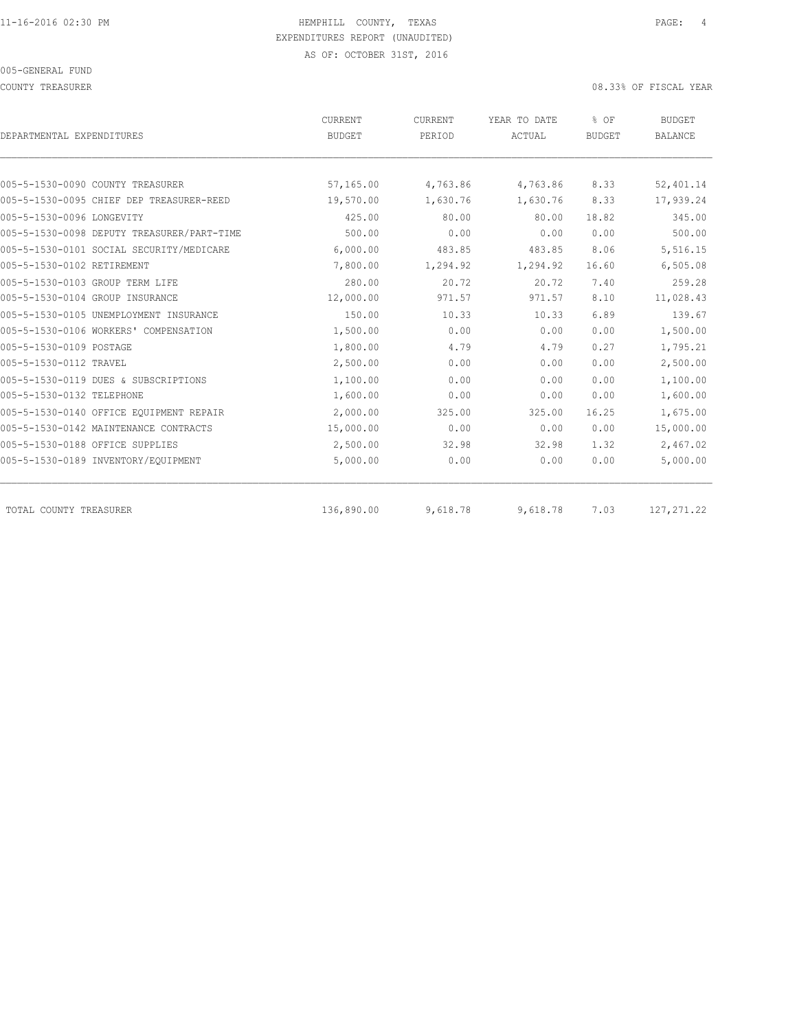COUNTY TREASURER 08.33% OF FISCAL YEAR

| DEPARTMENTAL EXPENDITURES                  | CURRENT<br><b>BUDGET</b> | CURRENT<br>PERIOD | YEAR TO DATE<br>ACTUAL | % OF<br><b>BUDGET</b> | <b>BUDGET</b><br><b>BALANCE</b> |
|--------------------------------------------|--------------------------|-------------------|------------------------|-----------------------|---------------------------------|
|                                            |                          |                   |                        |                       |                                 |
| 005-5-1530-0090 COUNTY TREASURER           | 57,165.00                | 4,763.86          | 4,763.86               | 8.33                  | 52,401.14                       |
| 005-5-1530-0095 CHIEF DEP TREASURER-REED   | 19,570.00                | 1,630.76          | 1,630.76               | 8.33                  | 17,939.24                       |
| 005-5-1530-0096 LONGEVITY                  | 425.00                   | 80.00             | 80.00                  | 18.82                 | 345.00                          |
| 005-5-1530-0098 DEPUTY TREASURER/PART-TIME | 500.00                   | 0.00              | 0.00                   | 0.00                  | 500.00                          |
| 005-5-1530-0101 SOCIAL SECURITY/MEDICARE   | 6,000.00                 | 483.85            | 483.85                 | 8.06                  | 5,516.15                        |
| 005-5-1530-0102 RETIREMENT                 | 7,800.00                 | 1,294.92          | 1,294.92               | 16.60                 | 6,505.08                        |
| 005-5-1530-0103 GROUP TERM LIFE            | 280.00                   | 20.72             | 20.72                  | 7.40                  | 259.28                          |
| 005-5-1530-0104 GROUP INSURANCE            | 12,000.00                | 971.57            | 971.57                 | 8.10                  | 11,028.43                       |
| 005-5-1530-0105 UNEMPLOYMENT INSURANCE     | 150.00                   | 10.33             | 10.33                  | 6.89                  | 139.67                          |
| 005-5-1530-0106 WORKERS' COMPENSATION      | 1,500.00                 | 0.00              | 0.00                   | 0.00                  | 1,500.00                        |
| 005-5-1530-0109 POSTAGE                    | 1,800.00                 | 4.79              | 4.79                   | 0.27                  | 1,795.21                        |
| 005-5-1530-0112 TRAVEL                     | 2,500.00                 | 0.00              | 0.00                   | 0.00                  | 2,500.00                        |
| 005-5-1530-0119 DUES & SUBSCRIPTIONS       | 1,100.00                 | 0.00              | 0.00                   | 0.00                  | 1,100.00                        |
| 005-5-1530-0132 TELEPHONE                  | 1,600.00                 | 0.00              | 0.00                   | 0.00                  | 1,600.00                        |
| 005-5-1530-0140 OFFICE EQUIPMENT REPAIR    | 2,000.00                 | 325.00            | 325.00                 | 16.25                 | 1,675.00                        |
| 005-5-1530-0142 MAINTENANCE CONTRACTS      | 15,000.00                | 0.00              | 0.00                   | 0.00                  | 15,000.00                       |
| 005-5-1530-0188 OFFICE SUPPLIES            | 2,500.00                 | 32.98             | 32.98                  | 1.32                  | 2,467.02                        |
| 005-5-1530-0189 INVENTORY/EQUIPMENT        | 5,000.00                 | 0.00              | 0.00                   | 0.00                  | 5,000.00                        |
| TOTAL COUNTY TREASURER                     | 136,890.00               | 9,618.78          | 9,618.78               | 7.03                  | 127, 271.22                     |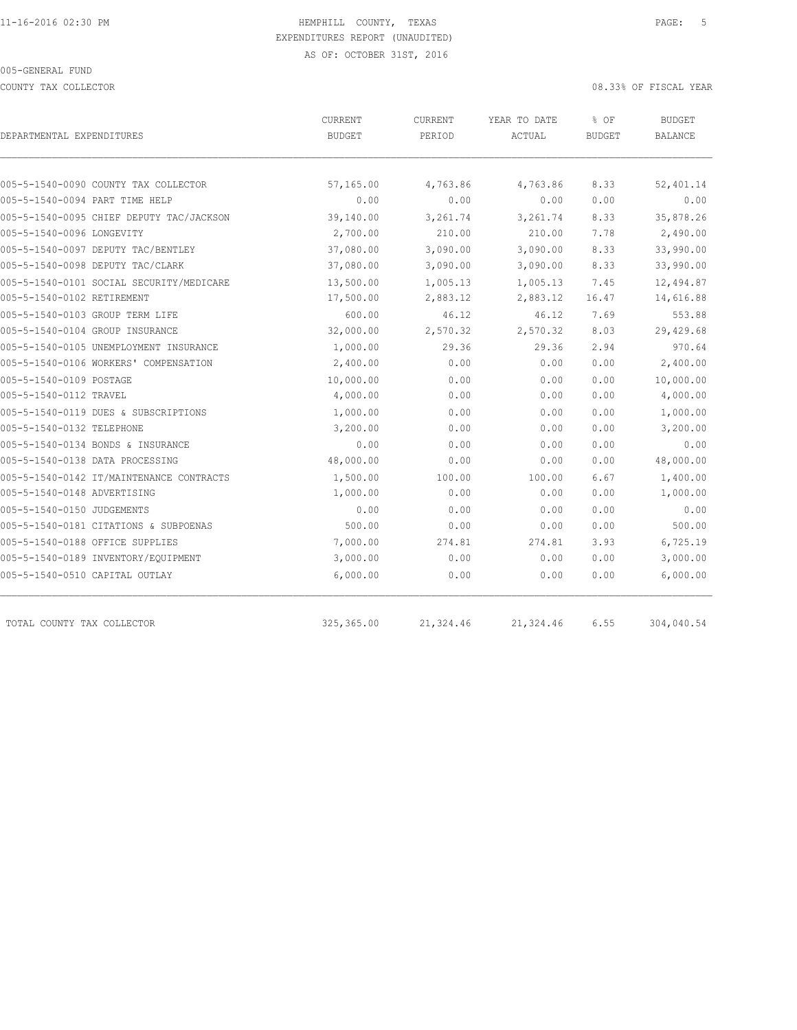COUNTY TAX COLLECTOR **COULECTOR COULECTOR COUNTY TAX COLLECTOR** 

| DEPARTMENTAL EXPENDITURES                | CURRENT<br><b>BUDGET</b> | <b>CURRENT</b><br>PERIOD | YEAR TO DATE<br>ACTUAL | % OF<br><b>BUDGET</b> | BUDGET<br>BALANCE |
|------------------------------------------|--------------------------|--------------------------|------------------------|-----------------------|-------------------|
|                                          |                          |                          |                        |                       |                   |
| 005-5-1540-0090 COUNTY TAX COLLECTOR     | 57,165.00                | 4,763.86                 | 4,763.86               | 8.33                  | 52,401.14         |
| 005-5-1540-0094 PART TIME HELP           | 0.00                     | 0.00                     | 0.00                   | 0.00                  | 0.00              |
| 005-5-1540-0095 CHIEF DEPUTY TAC/JACKSON | 39,140.00                | 3,261.74                 | 3,261.74               | 8.33                  | 35,878.26         |
| 005-5-1540-0096 LONGEVITY                | 2,700.00                 | 210.00                   | 210.00                 | 7.78                  | 2,490.00          |
| 005-5-1540-0097 DEPUTY TAC/BENTLEY       | 37,080.00                | 3,090.00                 | 3,090.00               | 8.33                  | 33,990.00         |
| 005-5-1540-0098 DEPUTY TAC/CLARK         | 37,080.00                | 3,090.00                 | 3,090.00               | 8.33                  | 33,990.00         |
| 005-5-1540-0101 SOCIAL SECURITY/MEDICARE | 13,500.00                | 1,005.13                 | 1,005.13               | 7.45                  | 12,494.87         |
| 005-5-1540-0102 RETIREMENT               | 17,500.00                | 2,883.12                 | 2,883.12               | 16.47                 | 14,616.88         |
| 005-5-1540-0103 GROUP TERM LIFE          | 600.00                   | 46.12                    | 46.12                  | 7.69                  | 553.88            |
| 005-5-1540-0104 GROUP INSURANCE          | 32,000.00                | 2,570.32                 | 2,570.32               | 8.03                  | 29,429.68         |
| 005-5-1540-0105 UNEMPLOYMENT INSURANCE   | 1,000.00                 | 29.36                    | 29.36                  | 2.94                  | 970.64            |
| 005-5-1540-0106 WORKERS' COMPENSATION    | 2,400.00                 | 0.00                     | 0.00                   | 0.00                  | 2,400.00          |
| 005-5-1540-0109 POSTAGE                  | 10,000.00                | 0.00                     | 0.00                   | 0.00                  | 10,000.00         |
| 005-5-1540-0112 TRAVEL                   | 4,000.00                 | 0.00                     | 0.00                   | 0.00                  | 4,000.00          |
| 005-5-1540-0119 DUES & SUBSCRIPTIONS     | 1,000.00                 | 0.00                     | 0.00                   | 0.00                  | 1,000.00          |
| 005-5-1540-0132 TELEPHONE                | 3,200.00                 | 0.00                     | 0.00                   | 0.00                  | 3,200.00          |
| 005-5-1540-0134 BONDS & INSURANCE        | 0.00                     | 0.00                     | 0.00                   | 0.00                  | 0.00              |
| 005-5-1540-0138 DATA PROCESSING          | 48,000.00                | 0.00                     | 0.00                   | 0.00                  | 48,000.00         |
| 005-5-1540-0142 IT/MAINTENANCE CONTRACTS | 1,500.00                 | 100.00                   | 100.00                 | 6.67                  | 1,400.00          |
| 005-5-1540-0148 ADVERTISING              | 1,000.00                 | 0.00                     | 0.00                   | 0.00                  | 1,000.00          |
| 005-5-1540-0150 JUDGEMENTS               | 0.00                     | 0.00                     | 0.00                   | 0.00                  | 0.00              |
| 005-5-1540-0181 CITATIONS & SUBPOENAS    | 500.00                   | 0.00                     | 0.00                   | 0.00                  | 500.00            |
| 005-5-1540-0188 OFFICE SUPPLIES          | 7,000.00                 | 274.81                   | 274.81                 | 3.93                  | 6,725.19          |
| 005-5-1540-0189 INVENTORY/EQUIPMENT      | 3,000.00                 | 0.00                     | 0.00                   | 0.00                  | 3,000.00          |
| 005-5-1540-0510 CAPITAL OUTLAY           | 6,000.00                 | 0.00                     | 0.00                   | 0.00                  | 6,000.00          |
| TOTAL COUNTY TAX COLLECTOR               | 325, 365.00              | 21,324.46                | 21,324.46              | 6.55                  | 304,040.54        |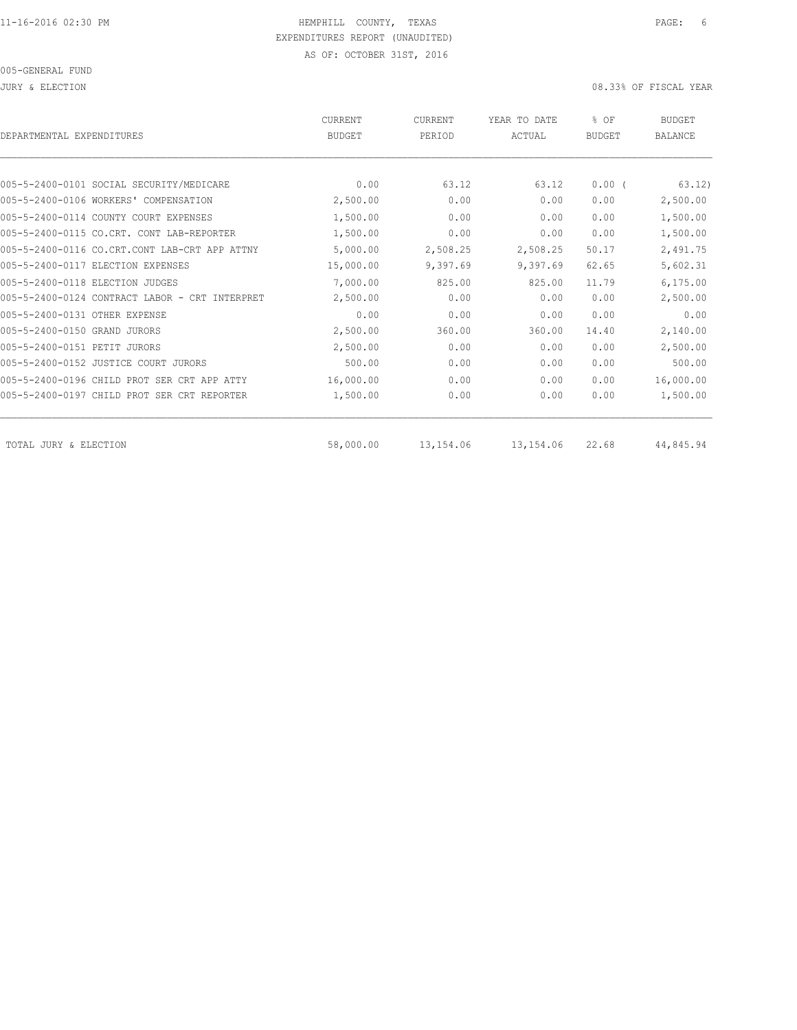#### JURY & ELECTION 08.33% OF FISCAL YEAR

| DEPARTMENTAL EXPENDITURES                      | <b>CURRENT</b><br><b>BUDGET</b> | CURRENT<br>PERIOD | YEAR TO DATE<br>ACTUAL | % OF<br><b>BUDGET</b> | <b>BUDGET</b><br><b>BALANCE</b> |
|------------------------------------------------|---------------------------------|-------------------|------------------------|-----------------------|---------------------------------|
|                                                |                                 |                   |                        |                       |                                 |
| 005-5-2400-0101 SOCIAL SECURITY/MEDICARE       | 0.00                            | 63.12             | 63.12                  | $0.00$ (              | 63.12)                          |
| 005-5-2400-0106 WORKERS' COMPENSATION          | 2,500.00                        | 0.00              | 0.00                   | 0.00                  | 2,500.00                        |
| 005-5-2400-0114 COUNTY COURT EXPENSES          | 1,500.00                        | 0.00              | 0.00                   | 0.00                  | 1,500.00                        |
| 005-5-2400-0115 CO.CRT. CONT LAB-REPORTER      | 1,500.00                        | 0.00              | 0.00                   | 0.00                  | 1,500.00                        |
| 005-5-2400-0116 CO.CRT.CONT LAB-CRT APP ATTNY  | 5,000.00                        | 2,508.25          | 2,508.25               | 50.17                 | 2,491.75                        |
| 005-5-2400-0117 ELECTION EXPENSES              | 15,000.00                       | 9,397.69          | 9,397.69               | 62.65                 | 5,602.31                        |
| 005-5-2400-0118 ELECTION JUDGES                | 7,000.00                        | 825.00            | 825.00                 | 11.79                 | 6, 175.00                       |
| 005-5-2400-0124 CONTRACT LABOR - CRT INTERPRET | 2,500.00                        | 0.00              | 0.00                   | 0.00                  | 2,500.00                        |
| 005-5-2400-0131 OTHER EXPENSE                  | 0.00                            | 0.00              | 0.00                   | 0.00                  | 0.00                            |
| 005-5-2400-0150 GRAND JURORS                   | 2,500.00                        | 360.00            | 360.00                 | 14.40                 | 2,140.00                        |
| 005-5-2400-0151 PETIT JURORS                   | 2,500.00                        | 0.00              | 0.00                   | 0.00                  | 2,500.00                        |
| 005-5-2400-0152 JUSTICE COURT JURORS           | 500.00                          | 0.00              | 0.00                   | 0.00                  | 500.00                          |
| 005-5-2400-0196 CHILD PROT SER CRT APP ATTY    | 16,000.00                       | 0.00              | 0.00                   | 0.00                  | 16,000.00                       |
| 005-5-2400-0197 CHILD PROT SER CRT REPORTER    | 1,500.00                        | 0.00              | 0.00                   | 0.00                  | 1,500.00                        |
| TOTAL JURY & ELECTION                          | 58,000.00                       | 13,154.06         | 13,154.06              | 22.68                 | 44,845.94                       |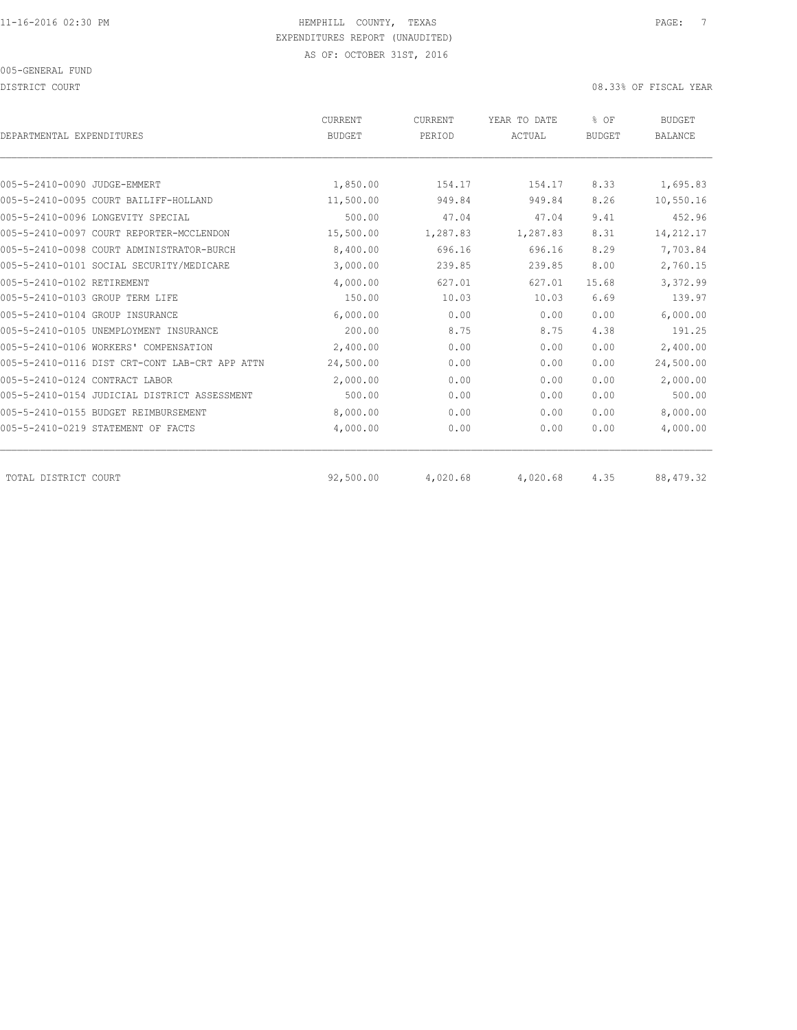DISTRICT COURT COURT COURT COURT COURT COURT COURT COURT COURT COURT COURT OF TISCAL YEAR

| DEPARTMENTAL EXPENDITURES                      | <b>CURRENT</b><br><b>BUDGET</b> | CURRENT<br>PERIOD | YEAR TO DATE<br>ACTUAL | % OF<br><b>BUDGET</b> | <b>BUDGET</b><br><b>BALANCE</b> |
|------------------------------------------------|---------------------------------|-------------------|------------------------|-----------------------|---------------------------------|
|                                                |                                 |                   |                        |                       |                                 |
| 005-5-2410-0090 JUDGE-EMMERT                   | 1,850.00                        | 154.17            | 154.17                 | 8.33                  | 1,695.83                        |
| 005-5-2410-0095 COURT BAILIFF-HOLLAND          | 11,500.00                       | 949.84            | 949.84                 | 8.26                  | 10,550.16                       |
| 005-5-2410-0096 LONGEVITY SPECIAL              | 500.00                          | 47.04             | 47.04                  | 9.41                  | 452.96                          |
| 005-5-2410-0097 COURT REPORTER-MCCLENDON       | 15,500.00                       | 1,287.83          | 1,287.83               | 8.31                  | 14,212.17                       |
| 005-5-2410-0098 COURT ADMINISTRATOR-BURCH      | 8,400.00                        | 696.16            | 696.16                 | 8.29                  | 7,703.84                        |
| 005-5-2410-0101 SOCIAL SECURITY/MEDICARE       | 3,000.00                        | 239.85            | 239.85                 | 8.00                  | 2,760.15                        |
| 005-5-2410-0102 RETIREMENT                     | 4,000.00                        | 627.01            | 627.01                 | 15.68                 | 3,372.99                        |
| 005-5-2410-0103 GROUP TERM LIFE                | 150.00                          | 10.03             | 10.03                  | 6.69                  | 139.97                          |
| 005-5-2410-0104 GROUP INSURANCE                | 6,000.00                        | 0.00              | 0.00                   | 0.00                  | 6,000.00                        |
| 005-5-2410-0105 UNEMPLOYMENT INSURANCE         | 200.00                          | 8.75              | 8.75                   | 4.38                  | 191.25                          |
| 005-5-2410-0106 WORKERS' COMPENSATION          | 2,400.00                        | 0.00              | 0.00                   | 0.00                  | 2,400.00                        |
| 005-5-2410-0116 DIST CRT-CONT LAB-CRT APP ATTN | 24,500.00                       | 0.00              | 0.00                   | 0.00                  | 24,500.00                       |
| 005-5-2410-0124 CONTRACT LABOR                 | 2,000.00                        | 0.00              | 0.00                   | 0.00                  | 2,000.00                        |
| 005-5-2410-0154 JUDICIAL DISTRICT ASSESSMENT   | 500.00                          | 0.00              | 0.00                   | 0.00                  | 500.00                          |
| 005-5-2410-0155 BUDGET REIMBURSEMENT           | 8,000.00                        | 0.00              | 0.00                   | 0.00                  | 8,000.00                        |
| 005-5-2410-0219 STATEMENT OF FACTS             | 4,000.00                        | 0.00              | 0.00                   | 0.00                  | 4,000.00                        |
| TOTAL DISTRICT COURT                           | 92,500.00                       | 4,020.68          | 4,020.68               | 4.35                  | 88, 479.32                      |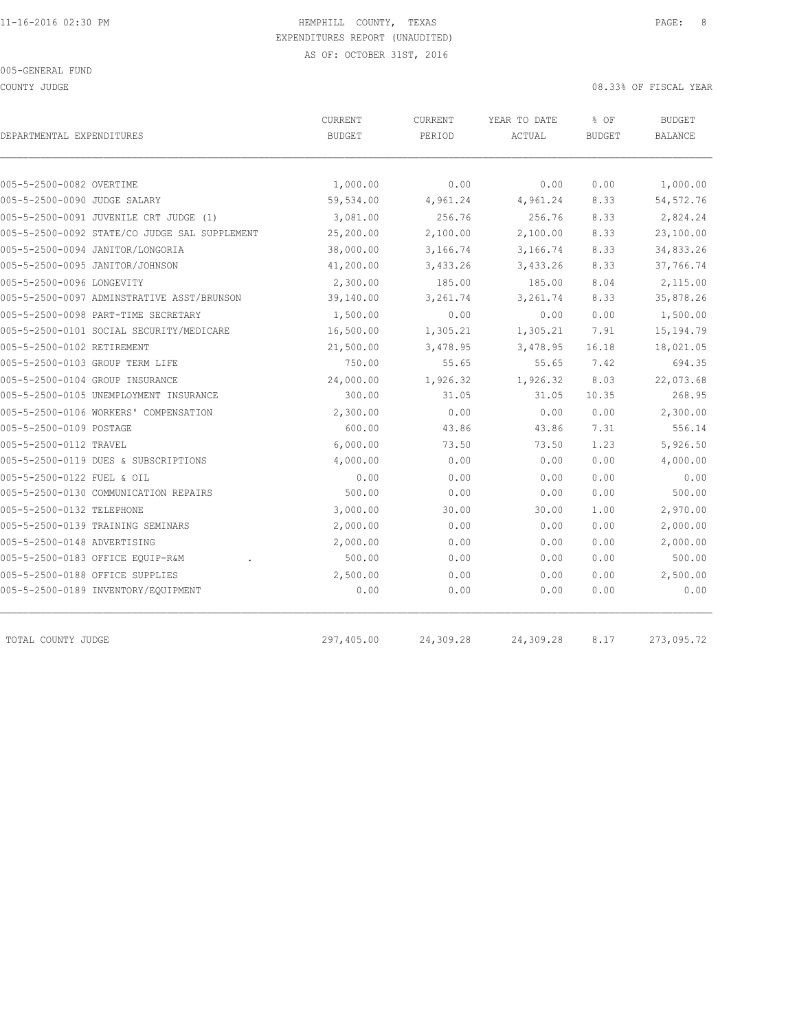COUNTY JUDGE 08.33% OF FISCAL YEAR

| DEPARTMENTAL EXPENDITURES                     | CURRENT<br><b>BUDGET</b> | CURRENT<br>PERIOD | YEAR TO DATE<br>ACTUAL | % OF<br><b>BUDGET</b> | <b>BUDGET</b><br>BALANCE |
|-----------------------------------------------|--------------------------|-------------------|------------------------|-----------------------|--------------------------|
|                                               |                          |                   |                        |                       |                          |
| 005-5-2500-0082 OVERTIME                      | 1,000.00                 | 0.00              | 0.00                   | 0.00                  | 1,000.00                 |
| 005-5-2500-0090 JUDGE SALARY                  | 59,534.00                | 4,961.24          | 4,961.24               | 8.33                  | 54, 572.76               |
| 005-5-2500-0091 JUVENILE CRT JUDGE (1)        | 3,081.00                 | 256.76            | 256.76                 | 8.33                  | 2,824.24                 |
| 005-5-2500-0092 STATE/CO JUDGE SAL SUPPLEMENT | 25,200.00                | 2,100.00          | 2,100.00               | 8.33                  | 23,100.00                |
| 005-5-2500-0094 JANITOR/LONGORIA              | 38,000.00                | 3,166.74          | 3,166.74               | 8.33                  | 34,833.26                |
| 005-5-2500-0095 JANITOR/JOHNSON               | 41,200.00                | 3,433.26          | 3,433.26               | 8.33                  | 37,766.74                |
| 005-5-2500-0096 LONGEVITY                     | 2,300.00                 | 185.00            | 185.00                 | 8.04                  | 2,115.00                 |
| 005-5-2500-0097 ADMINSTRATIVE ASST/BRUNSON    | 39,140.00                | 3,261.74          | 3,261.74               | 8.33                  | 35,878.26                |
| 005-5-2500-0098 PART-TIME SECRETARY           | 1,500.00                 | 0.00              | 0.00                   | 0.00                  | 1,500.00                 |
| 005-5-2500-0101 SOCIAL SECURITY/MEDICARE      | 16,500.00                | 1,305.21          | 1,305.21               | 7.91                  | 15, 194. 79              |
| 005-5-2500-0102 RETIREMENT                    | 21,500.00                | 3,478.95          | 3,478.95               | 16.18                 | 18,021.05                |
| 005-5-2500-0103 GROUP TERM LIFE               | 750.00                   | 55.65             | 55.65                  | 7.42                  | 694.35                   |
| 005-5-2500-0104 GROUP INSURANCE               | 24,000.00                | 1,926.32          | 1,926.32               | 8.03                  | 22,073.68                |
| 005-5-2500-0105 UNEMPLOYMENT INSURANCE        | 300.00                   | 31.05             | 31.05                  | 10.35                 | 268.95                   |
| 005-5-2500-0106 WORKERS' COMPENSATION         | 2,300.00                 | 0.00              | 0.00                   | 0.00                  | 2,300.00                 |
| 005-5-2500-0109 POSTAGE                       | 600.00                   | 43.86             | 43.86                  | 7.31                  | 556.14                   |
| 005-5-2500-0112 TRAVEL                        | 6,000.00                 | 73.50             | 73.50                  | 1.23                  | 5,926.50                 |
| 005-5-2500-0119 DUES & SUBSCRIPTIONS          | 4,000.00                 | 0.00              | 0.00                   | 0.00                  | 4,000.00                 |
| 005-5-2500-0122 FUEL & OIL                    | 0.00                     | 0.00              | 0.00                   | 0.00                  | 0.00                     |
| 005-5-2500-0130 COMMUNICATION REPAIRS         | 500.00                   | 0.00              | 0.00                   | 0.00                  | 500.00                   |
| 005-5-2500-0132 TELEPHONE                     | 3,000.00                 | 30.00             | 30.00                  | 1.00                  | 2,970.00                 |
| 005-5-2500-0139 TRAINING SEMINARS             | 2,000.00                 | 0.00              | 0.00                   | 0.00                  | 2,000.00                 |
| 005-5-2500-0148 ADVERTISING                   | 2,000.00                 | 0.00              | 0.00                   | 0.00                  | 2,000.00                 |
| 005-5-2500-0183 OFFICE EQUIP-R&M              | 500.00                   | 0.00              | 0.00                   | 0.00                  | 500.00                   |
| 005-5-2500-0188 OFFICE SUPPLIES               | 2,500.00                 | 0.00              | 0.00                   | 0.00                  | 2,500.00                 |
| 005-5-2500-0189 INVENTORY/EQUIPMENT           | 0.00                     | 0.00              | 0.00                   | 0.00                  | 0.00                     |
| TOTAL COUNTY JUDGE                            | 297,405.00               | 24,309.28         | 24,309.28              | 8.17                  | 273,095.72               |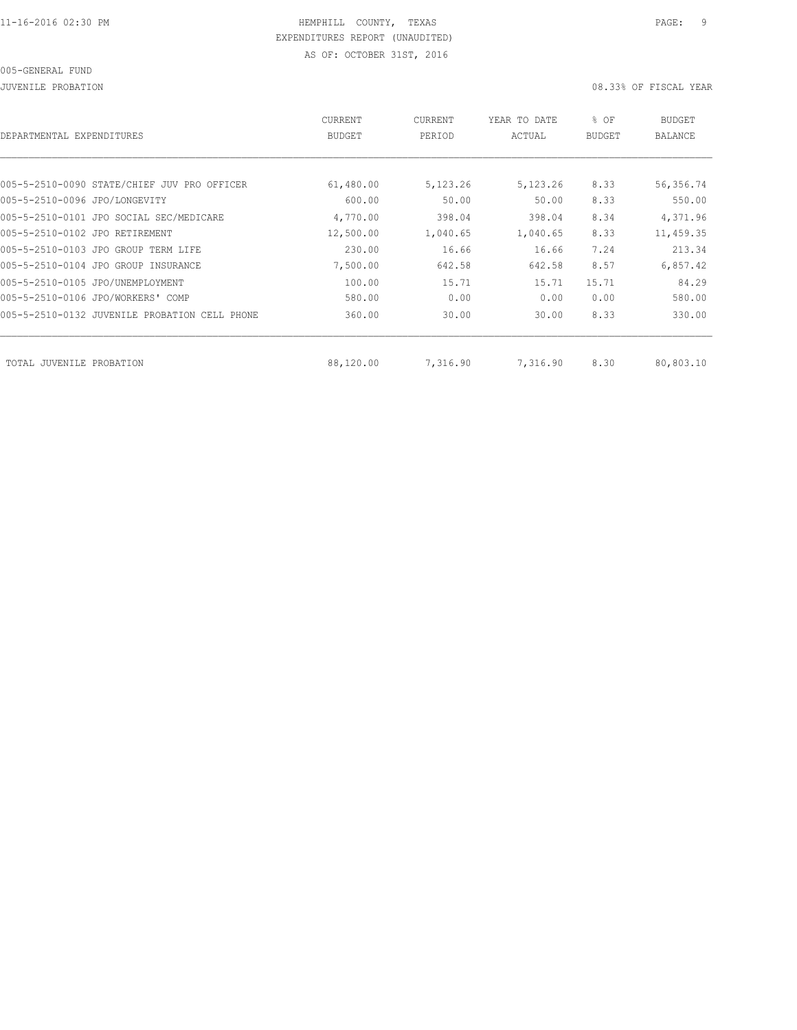JUVENILE PROBATION 08.33% OF FISCAL YEAR

| DEPARTMENTAL EXPENDITURES                        | <b>CURRENT</b><br><b>BUDGET</b> | CURRENT<br>PERIOD | YEAR TO DATE<br>ACTUAL | % OF<br><b>BUDGET</b> | <b>BUDGET</b><br>BALANCE |
|--------------------------------------------------|---------------------------------|-------------------|------------------------|-----------------------|--------------------------|
|                                                  |                                 |                   |                        |                       |                          |
| 005-5-2510-0090 STATE/CHIEF JUV PRO OFFICER      | 61,480.00                       | 5,123.26          | 5,123.26               | 8.33                  | 56,356.74                |
| 005-5-2510-0096 JPO/LONGEVITY                    | 600.00                          | 50.00             | 50.00                  | 8.33                  | 550.00                   |
| 005-5-2510-0101 JPO SOCIAL SEC/MEDICARE          | 4,770.00                        | 398.04            | 398.04                 | 8.34                  | 4,371.96                 |
| 005-5-2510-0102 JPO RETIREMENT                   | 12,500.00                       | 1,040.65          | 1,040.65               | 8.33                  | 11,459.35                |
| 005-5-2510-0103 JPO GROUP TERM LIFE              | 230.00                          | 16.66             | 16.66                  | 7.24                  | 213.34                   |
| 005-5-2510-0104 JPO GROUP INSURANCE              | 7,500.00                        | 642.58            | 642.58                 | 8.57                  | 6,857.42                 |
| 005-5-2510-0105 JPO/UNEMPLOYMENT                 | 100.00                          | 15.71             | 15.71                  | 15.71                 | 84.29                    |
| 005-5-2510-0106 JPO/WORKERS' COMP                | 580.00                          | 0.00              | 0.00                   | 0.00                  | 580.00                   |
| 005-5-2510-0132 JUVENILE PROBATION<br>CELL PHONE | 360.00                          | 30.00             | 30.00                  | 8.33                  | 330.00                   |
| TOTAL JUVENILE PROBATION                         | 88,120.00                       | 7,316.90          | 7,316.90               | 8.30                  | 80,803.10                |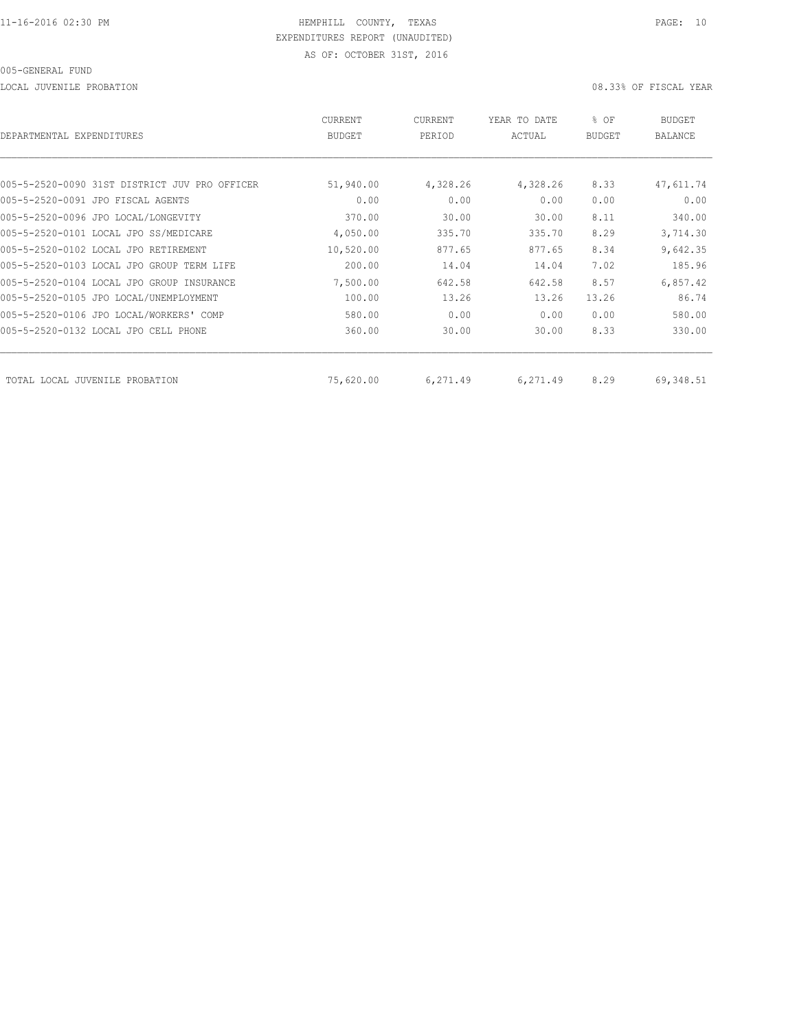LOCAL JUVENILE PROBATION 08.33% OF FISCAL YEAR

| DEPARTMENTAL EXPENDITURES                     | <b>CURRENT</b><br><b>BUDGET</b> | CURRENT<br>PERIOD | YEAR TO DATE<br>ACTUAL | % OF<br><b>BUDGET</b> | BUDGET<br><b>BALANCE</b> |
|-----------------------------------------------|---------------------------------|-------------------|------------------------|-----------------------|--------------------------|
|                                               |                                 |                   |                        |                       |                          |
| 005-5-2520-0090 31ST DISTRICT JUV PRO OFFICER | 51,940.00                       | 4,328.26          | 4,328.26               | 8.33                  | 47,611.74                |
| 005-5-2520-0091 JPO FISCAL AGENTS             | 0.00                            | 0.00              | 0.00                   | 0.00                  | 0.00                     |
| 005-5-2520-0096 JPO LOCAL/LONGEVITY           | 370.00                          | 30.00             | 30.00                  | 8.11                  | 340.00                   |
| 005-5-2520-0101 LOCAL JPO SS/MEDICARE         | 4,050.00                        | 335.70            | 335.70                 | 8.29                  | 3,714.30                 |
| 005-5-2520-0102 LOCAL JPO RETIREMENT          | 10,520.00                       | 877.65            | 877.65                 | 8.34                  | 9,642.35                 |
| 005-5-2520-0103 LOCAL JPO GROUP TERM LIFE     | 200.00                          | 14.04             | 14.04                  | 7.02                  | 185.96                   |
| 005-5-2520-0104 LOCAL JPO GROUP INSURANCE     | 7,500.00                        | 642.58            | 642.58                 | 8.57                  | 6,857.42                 |
| 005-5-2520-0105 JPO LOCAL/UNEMPLOYMENT        | 100.00                          | 13.26             | 13.26                  | 13.26                 | 86.74                    |
| 005-5-2520-0106 JPO LOCAL/WORKERS' COMP       | 580.00                          | 0.00              | 0.00                   | 0.00                  | 580.00                   |
| 005-5-2520-0132 LOCAL JPO CELL PHONE          | 360.00                          | 30.00             | 30.00                  | 8.33                  | 330.00                   |
| TOTAL LOCAL JUVENILE PROBATION                | 75,620.00                       | 6,271.49          | 6,271.49               | 8.29                  | 69,348.51                |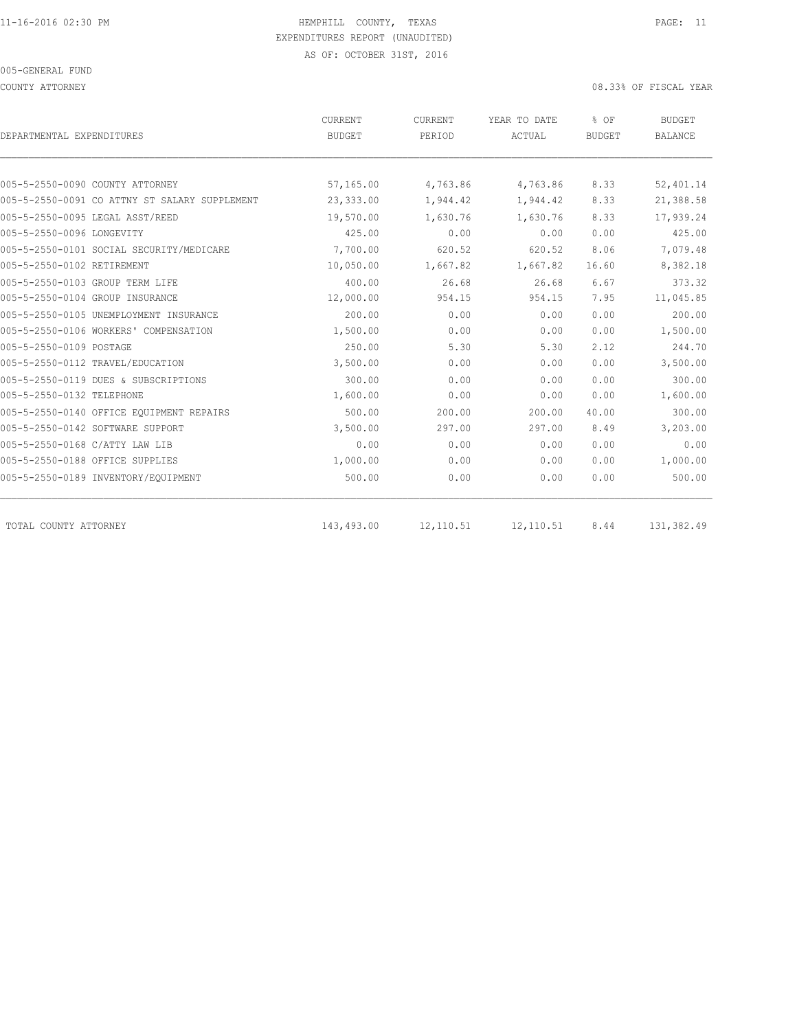COUNTY ATTORNEY 08.33% OF FISCAL YEAR

| DEPARTMENTAL EXPENDITURES                     | <b>CURRENT</b><br><b>BUDGET</b> | <b>CURRENT</b><br>PERIOD | YEAR TO DATE<br>ACTUAL | % OF<br><b>BUDGET</b> | <b>BUDGET</b><br>BALANCE |
|-----------------------------------------------|---------------------------------|--------------------------|------------------------|-----------------------|--------------------------|
|                                               |                                 |                          |                        |                       |                          |
| 005-5-2550-0090 COUNTY ATTORNEY               | 57,165.00                       | 4,763.86                 | 4,763.86               | 8.33                  | 52,401.14                |
| 005-5-2550-0091 CO ATTNY ST SALARY SUPPLEMENT | 23,333.00                       | 1,944.42                 | 1,944.42               | 8.33                  | 21,388.58                |
| 005-5-2550-0095 LEGAL ASST/REED               | 19,570.00                       | 1,630.76                 | 1,630.76               | 8.33                  | 17,939.24                |
| 005-5-2550-0096 LONGEVITY                     | 425.00                          | 0.00                     | 0.00                   | 0.00                  | 425.00                   |
| 005-5-2550-0101 SOCIAL SECURITY/MEDICARE      | 7,700.00                        | 620.52                   | 620.52                 | 8.06                  | 7,079.48                 |
| 005-5-2550-0102 RETIREMENT                    | 10,050.00                       | 1,667.82                 | 1,667.82               | 16.60                 | 8,382.18                 |
| 005-5-2550-0103 GROUP TERM LIFE               | 400.00                          | 26.68                    | 26.68                  | 6.67                  | 373.32                   |
| 005-5-2550-0104 GROUP INSURANCE               | 12,000.00                       | 954.15                   | 954.15                 | 7.95                  | 11,045.85                |
| 005-5-2550-0105 UNEMPLOYMENT INSURANCE        | 200.00                          | 0.00                     | 0.00                   | 0.00                  | 200.00                   |
| 005-5-2550-0106 WORKERS' COMPENSATION         | 1,500.00                        | 0.00                     | 0.00                   | 0.00                  | 1,500.00                 |
| 005-5-2550-0109 POSTAGE                       | 250.00                          | 5.30                     | 5.30                   | 2.12                  | 244.70                   |
| 005-5-2550-0112 TRAVEL/EDUCATION              | 3,500.00                        | 0.00                     | 0.00                   | 0.00                  | 3,500.00                 |
| 005-5-2550-0119 DUES & SUBSCRIPTIONS          | 300.00                          | 0.00                     | 0.00                   | 0.00                  | 300.00                   |
| 005-5-2550-0132 TELEPHONE                     | 1,600.00                        | 0.00                     | 0.00                   | 0.00                  | 1,600.00                 |
| 005-5-2550-0140 OFFICE EQUIPMENT REPAIRS      | 500.00                          | 200.00                   | 200.00                 | 40.00                 | 300.00                   |
| 005-5-2550-0142 SOFTWARE SUPPORT              | 3,500.00                        | 297.00                   | 297.00                 | 8.49                  | 3,203.00                 |
| 005-5-2550-0168 C/ATTY LAW LIB                | 0.00                            | 0.00                     | 0.00                   | 0.00                  | 0.00                     |
| 005-5-2550-0188 OFFICE SUPPLIES               | 1,000.00                        | 0.00                     | 0.00                   | 0.00                  | 1,000.00                 |
| 005-5-2550-0189 INVENTORY/EQUIPMENT           | 500.00                          | 0.00                     | 0.00                   | 0.00                  | 500.00                   |
| TOTAL COUNTY ATTORNEY                         | 143,493.00                      | 12,110.51                | 12, 110.51             | 8.44                  | 131,382.49               |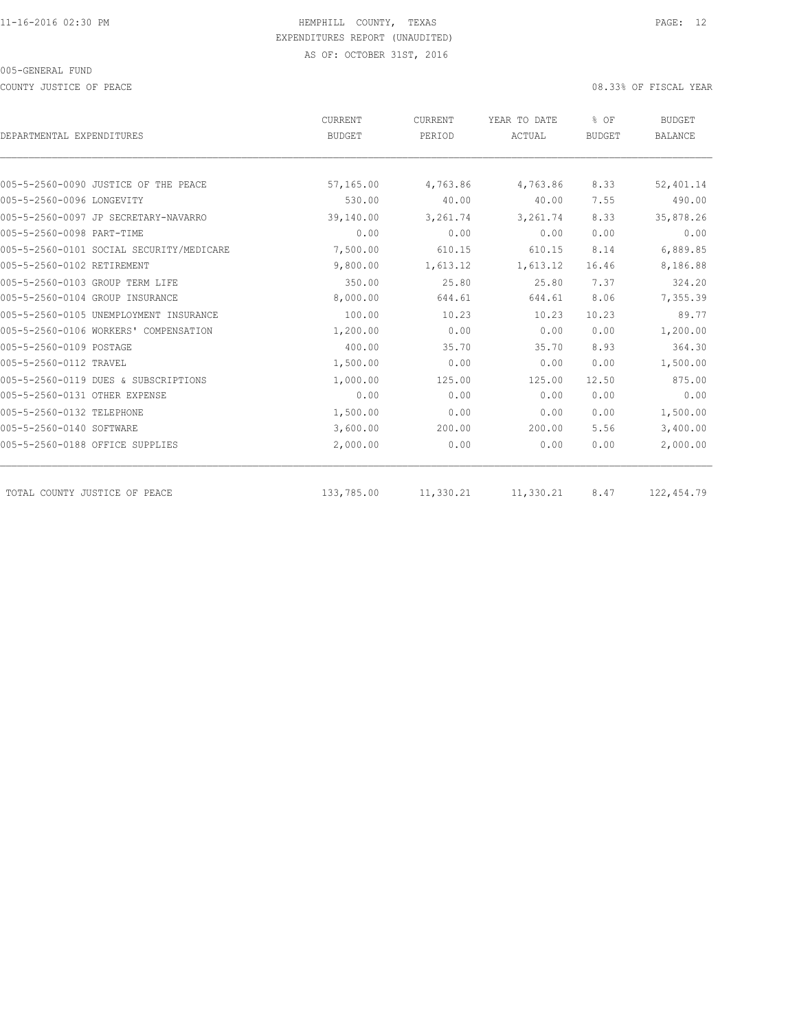COUNTY JUSTICE OF PEACE 08.33% OF FISCAL YEAR

|                                          | CURRENT       | CURRENT   | YEAR TO DATE | % OF          | <b>BUDGET</b>  |
|------------------------------------------|---------------|-----------|--------------|---------------|----------------|
| DEPARTMENTAL EXPENDITURES                | <b>BUDGET</b> | PERIOD    | ACTUAL       | <b>BUDGET</b> | <b>BALANCE</b> |
|                                          |               |           |              |               |                |
| 005-5-2560-0090 JUSTICE OF THE PEACE     | 57,165.00     | 4,763.86  | 4,763.86     | 8.33          | 52,401.14      |
| 005-5-2560-0096 LONGEVITY                | 530.00        | 40.00     | 40.00        | 7.55          | 490.00         |
| 005-5-2560-0097 JP SECRETARY-NAVARRO     | 39,140.00     | 3,261.74  | 3,261.74     | 8.33          | 35,878.26      |
| 005-5-2560-0098 PART-TIME                | 0.00          | 0.00      | 0.00         | 0.00          | 0.00           |
| 005-5-2560-0101 SOCIAL SECURITY/MEDICARE | 7,500.00      | 610.15    | 610.15       | 8.14          | 6,889.85       |
| 005-5-2560-0102 RETIREMENT               | 9,800.00      | 1,613.12  | 1,613.12     | 16.46         | 8,186.88       |
| 005-5-2560-0103 GROUP TERM LIFE          | 350.00        | 25.80     | 25.80        | 7.37          | 324.20         |
| 005-5-2560-0104 GROUP INSURANCE          | 8,000.00      | 644.61    | 644.61       | 8.06          | 7,355.39       |
| 005-5-2560-0105 UNEMPLOYMENT INSURANCE   | 100.00        | 10.23     | 10.23        | 10.23         | 89.77          |
| 005-5-2560-0106 WORKERS' COMPENSATION    | 1,200.00      | 0.00      | 0.00         | 0.00          | 1,200.00       |
| 005-5-2560-0109 POSTAGE                  | 400.00        | 35.70     | 35.70        | 8.93          | 364.30         |
| 005-5-2560-0112 TRAVEL                   | 1,500.00      | 0.00      | 0.00         | 0.00          | 1,500.00       |
| 005-5-2560-0119 DUES & SUBSCRIPTIONS     | 1,000.00      | 125.00    | 125.00       | 12.50         | 875.00         |
| 005-5-2560-0131 OTHER EXPENSE            | 0.00          | 0.00      | 0.00         | 0.00          | 0.00           |
| 005-5-2560-0132 TELEPHONE                | 1,500.00      | 0.00      | 0.00         | 0.00          | 1,500.00       |
| 005-5-2560-0140 SOFTWARE                 | 3,600.00      | 200.00    | 200.00       | 5.56          | 3,400.00       |
| 005-5-2560-0188 OFFICE SUPPLIES          | 2,000.00      | 0.00      | 0.00         | 0.00          | 2,000.00       |
| TOTAL COUNTY JUSTICE OF PEACE            | 133,785.00    | 11,330.21 | 11,330.21    | 8.47          | 122,454.79     |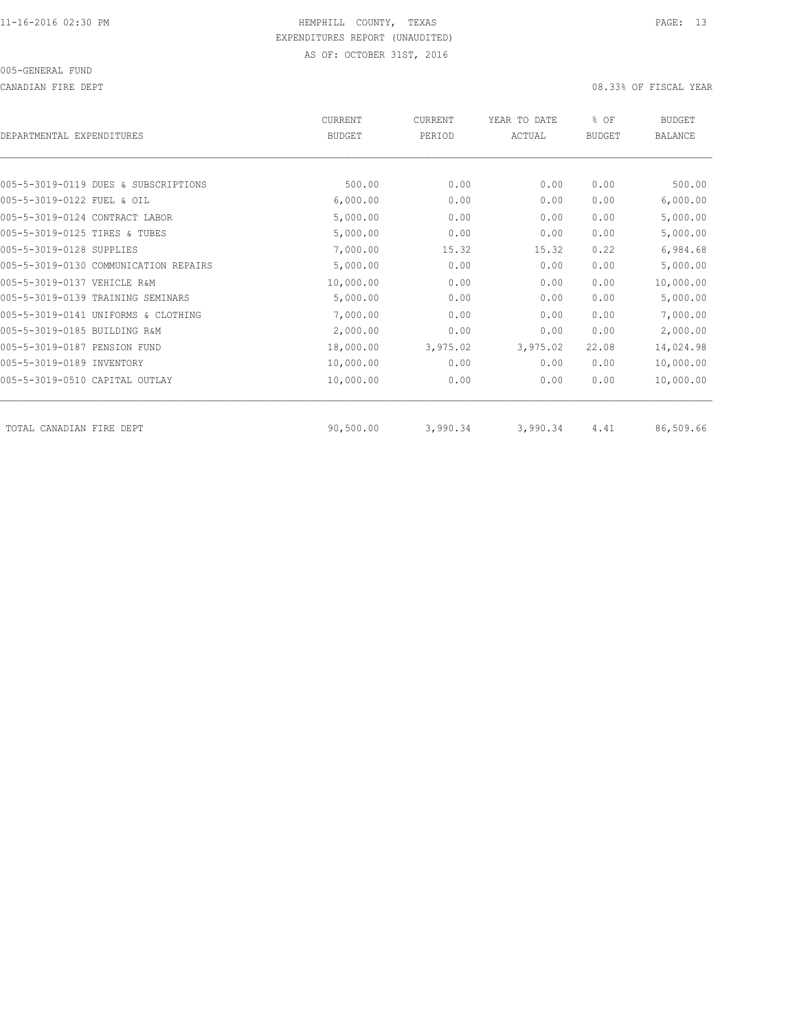CANADIAN FIRE DEPT 08.33% OF FISCAL YEAR

| DEPARTMENTAL EXPENDITURES             | <b>CURRENT</b><br><b>BUDGET</b> | CURRENT<br>PERIOD | YEAR TO DATE<br>ACTUAL | % OF<br>BUDGET | <b>BUDGET</b><br>BALANCE |
|---------------------------------------|---------------------------------|-------------------|------------------------|----------------|--------------------------|
|                                       |                                 |                   |                        |                |                          |
| 005-5-3019-0119 DUES & SUBSCRIPTIONS  | 500.00                          | 0.00              | 0.00                   | 0.00           | 500.00                   |
| 005-5-3019-0122 FUEL & OIL            | 6,000.00                        | 0.00              | 0.00                   | 0.00           | 6,000.00                 |
| 005-5-3019-0124 CONTRACT LABOR        | 5,000.00                        | 0.00              | 0.00                   | 0.00           | 5,000.00                 |
| 005-5-3019-0125 TIRES & TUBES         | 5,000.00                        | 0.00              | 0.00                   | 0.00           | 5,000.00                 |
| 005-5-3019-0128 SUPPLIES              | 7,000.00                        | 15.32             | 15.32                  | 0.22           | 6,984.68                 |
| 005-5-3019-0130 COMMUNICATION REPAIRS | 5,000.00                        | 0.00              | 0.00                   | 0.00           | 5,000.00                 |
| 005-5-3019-0137 VEHICLE R&M           | 10,000.00                       | 0.00              | 0.00                   | 0.00           | 10,000.00                |
| 005-5-3019-0139 TRAINING SEMINARS     | 5,000.00                        | 0.00              | 0.00                   | 0.00           | 5,000.00                 |
| 005-5-3019-0141 UNIFORMS & CLOTHING   | 7,000.00                        | 0.00              | 0.00                   | 0.00           | 7,000.00                 |
| 005-5-3019-0185 BUILDING R&M          | 2,000.00                        | 0.00              | 0.00                   | 0.00           | 2,000.00                 |
| 005-5-3019-0187 PENSION FUND          | 18,000.00                       | 3,975.02          | 3,975.02               | 22.08          | 14,024.98                |
| 005-5-3019-0189 INVENTORY             | 10,000.00                       | 0.00              | 0.00                   | 0.00           | 10,000.00                |
| 005-5-3019-0510 CAPITAL OUTLAY        | 10,000.00                       | 0.00              | 0.00                   | 0.00           | 10,000.00                |
| TOTAL CANADIAN FIRE DEPT              | 90,500.00                       | 3,990.34          | 3,990.34               | 4.41           | 86,509.66                |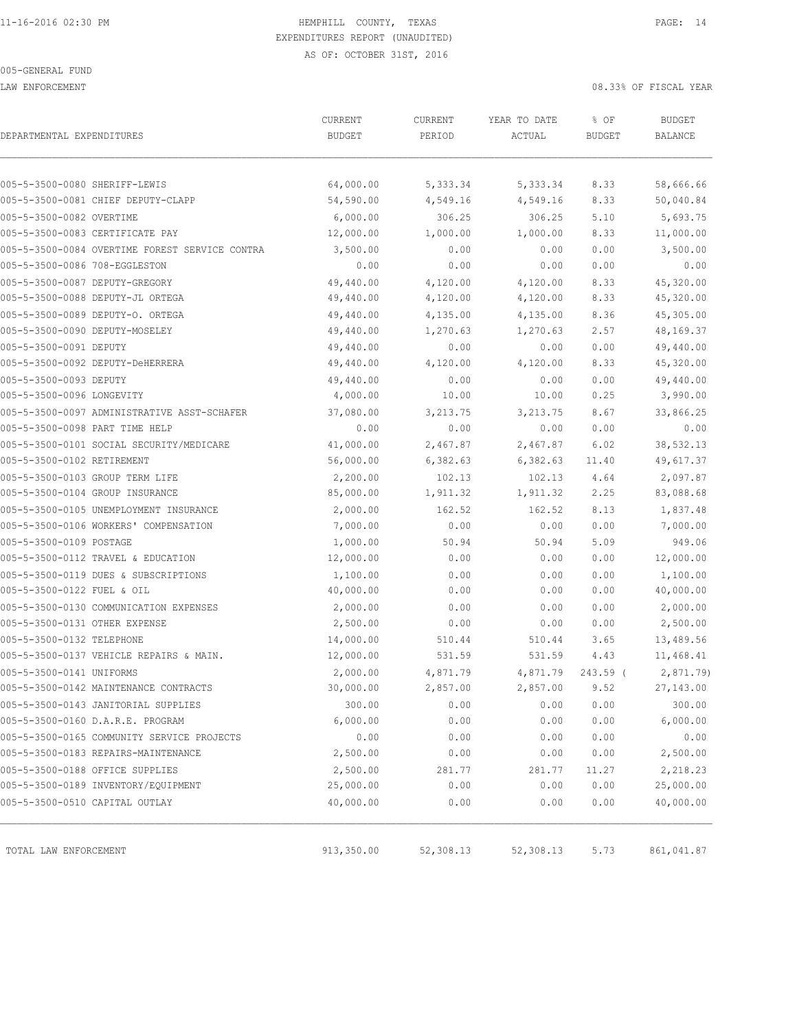LAW ENFORCEMENT 08.33% OF FISCAL YEAR

| DEPARTMENTAL EXPENDITURES                      | CURRENT<br><b>BUDGET</b> | CURRENT<br>PERIOD | YEAR TO DATE<br>ACTUAL | % OF<br><b>BUDGET</b> | <b>BUDGET</b><br>BALANCE |
|------------------------------------------------|--------------------------|-------------------|------------------------|-----------------------|--------------------------|
|                                                |                          |                   |                        |                       |                          |
| 005-5-3500-0080 SHERIFF-LEWIS                  | 64,000.00                | 5,333.34          | 5,333.34               | 8.33                  | 58,666.66                |
| 005-5-3500-0081 CHIEF DEPUTY-CLAPP             | 54,590.00                | 4,549.16          | 4,549.16               | 8.33                  | 50,040.84                |
| 005-5-3500-0082 OVERTIME                       | 6,000.00                 | 306.25            | 306.25                 | 5.10                  | 5,693.75                 |
| 005-5-3500-0083 CERTIFICATE PAY                | 12,000.00                | 1,000.00          | 1,000.00               | 8.33                  | 11,000.00                |
| 005-5-3500-0084 OVERTIME FOREST SERVICE CONTRA | 3,500.00                 | 0.00              | 0.00                   | 0.00                  | 3,500.00                 |
| 005-5-3500-0086 708-EGGLESTON                  | 0.00                     | 0.00              | 0.00                   | 0.00                  | 0.00                     |
| 005-5-3500-0087 DEPUTY-GREGORY                 | 49,440.00                | 4,120.00          | 4,120.00               | 8.33                  | 45,320.00                |
| 005-5-3500-0088 DEPUTY-JL ORTEGA               | 49,440.00                | 4,120.00          | 4,120.00               | 8.33                  | 45,320.00                |
| 005-5-3500-0089 DEPUTY-O. ORTEGA               | 49,440.00                | 4,135.00          | 4,135.00               | 8.36                  | 45,305.00                |
| 005-5-3500-0090 DEPUTY-MOSELEY                 | 49,440.00                | 1,270.63          | 1,270.63               | 2.57                  | 48,169.37                |
| 005-5-3500-0091 DEPUTY                         | 49,440.00                | 0.00              | 0.00                   | 0.00                  | 49,440.00                |
| 005-5-3500-0092 DEPUTY-DeHERRERA               | 49,440.00                | 4,120.00          | 4,120.00               | 8.33                  | 45,320.00                |
| 005-5-3500-0093 DEPUTY                         | 49,440.00                | 0.00              | 0.00                   | 0.00                  | 49,440.00                |
| 005-5-3500-0096 LONGEVITY                      | 4,000.00                 | 10.00             | 10.00                  | 0.25                  | 3,990.00                 |
| 005-5-3500-0097 ADMINISTRATIVE ASST-SCHAFER    | 37,080.00                | 3, 213.75         | 3, 213.75              | 8.67                  | 33,866.25                |
| 005-5-3500-0098 PART TIME HELP                 | 0.00                     | 0.00              | 0.00                   | 0.00                  | 0.00                     |
| 005-5-3500-0101 SOCIAL SECURITY/MEDICARE       | 41,000.00                | 2,467.87          | 2,467.87               | 6.02                  | 38,532.13                |
| 005-5-3500-0102 RETIREMENT                     | 56,000.00                | 6,382.63          | 6,382.63               | 11.40                 | 49,617.37                |
| 005-5-3500-0103 GROUP TERM LIFE                | 2,200.00                 | 102.13            | 102.13                 | 4.64                  | 2,097.87                 |
| 005-5-3500-0104 GROUP INSURANCE                | 85,000.00                | 1,911.32          | 1,911.32               | 2.25                  | 83,088.68                |
| 005-5-3500-0105 UNEMPLOYMENT INSURANCE         | 2,000.00                 | 162.52            | 162.52                 | 8.13                  | 1,837.48                 |
| 005-5-3500-0106 WORKERS' COMPENSATION          | 7,000.00                 | 0.00              | 0.00                   | 0.00                  | 7,000.00                 |
| 005-5-3500-0109 POSTAGE                        | 1,000.00                 | 50.94             | 50.94                  | 5.09                  | 949.06                   |
| 005-5-3500-0112 TRAVEL & EDUCATION             | 12,000.00                | 0.00              | 0.00                   | 0.00                  | 12,000.00                |
| 005-5-3500-0119 DUES & SUBSCRIPTIONS           | 1,100.00                 | 0.00              | 0.00                   | 0.00                  | 1,100.00                 |
| 005-5-3500-0122 FUEL & OIL                     | 40,000.00                | 0.00              | 0.00                   | 0.00                  | 40,000.00                |
| 005-5-3500-0130 COMMUNICATION EXPENSES         | 2,000.00                 | 0.00              | 0.00                   | 0.00                  | 2,000.00                 |
| 005-5-3500-0131 OTHER EXPENSE                  | 2,500.00                 | 0.00              | 0.00                   | 0.00                  | 2,500.00                 |
| 005-5-3500-0132 TELEPHONE                      | 14,000.00                | 510.44            | 510.44                 | 3.65                  | 13,489.56                |
| 005-5-3500-0137 VEHICLE REPAIRS & MAIN.        | 12,000.00                | 531.59            | 531.59                 | 4.43                  | 11,468.41                |
| 005-5-3500-0141 UNIFORMS                       | 2,000.00                 | 4,871.79          | 4,871.79               | 243.59 (              | 2,871.79                 |
| 005-5-3500-0142 MAINTENANCE CONTRACTS          | 30,000.00                | 2,857.00          | 2,857.00               | 9.52                  | 27,143.00                |
| 005-5-3500-0143 JANITORIAL SUPPLIES            | 300.00                   | 0.00              | 0.00                   | 0.00                  | 300.00                   |
| 005-5-3500-0160 D.A.R.E. PROGRAM               | 6,000.00                 | 0.00              | 0.00                   | 0.00                  | 6,000.00                 |
| 005-5-3500-0165 COMMUNITY SERVICE PROJECTS     | 0.00                     | 0.00              | 0.00                   | 0.00                  | 0.00                     |
| 005-5-3500-0183 REPAIRS-MAINTENANCE            | 2,500.00                 | 0.00              | 0.00                   | 0.00                  | 2,500.00                 |
| 005-5-3500-0188 OFFICE SUPPLIES                | 2,500.00                 | 281.77            | 281.77                 | 11.27                 | 2,218.23                 |
| 005-5-3500-0189 INVENTORY/EQUIPMENT            | 25,000.00                | 0.00              | 0.00                   | 0.00                  | 25,000.00                |
| 005-5-3500-0510 CAPITAL OUTLAY                 | 40,000.00                | 0.00              | 0.00                   | 0.00                  | 40,000.00                |
| TOTAL LAW ENFORCEMENT                          | 913,350.00               | 52,308.13         | 52,308.13              | 5.73                  | 861,041.87               |
|                                                |                          |                   |                        |                       |                          |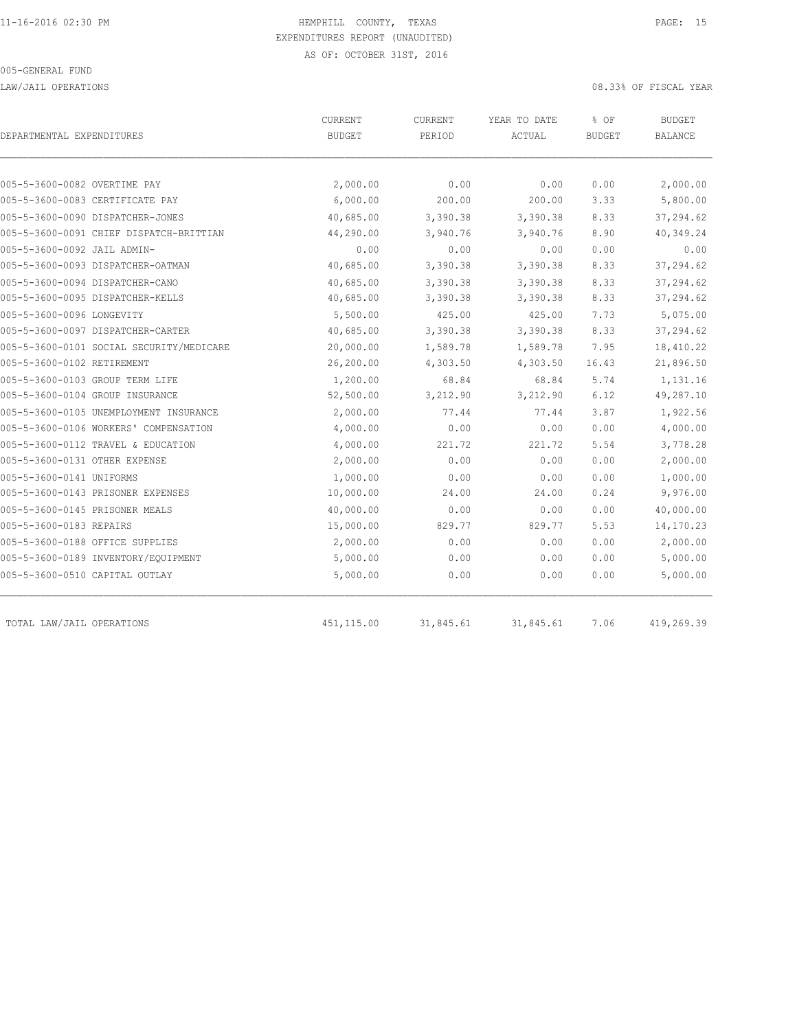LAW/JAIL OPERATIONS 08.33% OF FISCAL YEAR

| DEPARTMENTAL EXPENDITURES                | CURRENT<br><b>BUDGET</b> | CURRENT<br>PERIOD | YEAR TO DATE<br>ACTUAL | % OF<br><b>BUDGET</b> | <b>BUDGET</b><br>BALANCE |  |
|------------------------------------------|--------------------------|-------------------|------------------------|-----------------------|--------------------------|--|
|                                          |                          |                   |                        |                       |                          |  |
| 005-5-3600-0082 OVERTIME PAY             | 2,000.00                 | 0.00              | 0.00                   | 0.00                  | 2,000.00                 |  |
| 005-5-3600-0083 CERTIFICATE PAY          | 6,000.00                 | 200.00            | 200.00                 | 3.33                  | 5,800.00                 |  |
| 005-5-3600-0090 DISPATCHER-JONES         | 40,685.00                | 3,390.38          | 3,390.38               | 8.33                  | 37,294.62                |  |
| 005-5-3600-0091 CHIEF DISPATCH-BRITTIAN  | 44,290.00                | 3,940.76          | 3,940.76               | 8.90                  | 40,349.24                |  |
| 005-5-3600-0092 JAIL ADMIN-              | 0.00                     | 0.00              | 0.00                   | 0.00                  | 0.00                     |  |
| 005-5-3600-0093 DISPATCHER-OATMAN        | 40,685.00                | 3,390.38          | 3,390.38               | 8.33                  | 37,294.62                |  |
| 005-5-3600-0094 DISPATCHER-CANO          | 40,685.00                | 3,390.38          | 3,390.38               | 8.33                  | 37,294.62                |  |
| 005-5-3600-0095 DISPATCHER-KELLS         | 40,685.00                | 3,390.38          | 3,390.38               | 8.33                  | 37,294.62                |  |
| 005-5-3600-0096 LONGEVITY                | 5,500.00                 | 425.00            | 425.00                 | 7.73                  | 5,075.00                 |  |
| 005-5-3600-0097 DISPATCHER-CARTER        | 40,685.00                | 3,390.38          | 3,390.38               | 8.33                  | 37,294.62                |  |
| 005-5-3600-0101 SOCIAL SECURITY/MEDICARE | 20,000.00                | 1,589.78          | 1,589.78               | 7.95                  | 18,410.22                |  |
| 005-5-3600-0102 RETIREMENT               | 26,200.00                | 4,303.50          | 4,303.50               | 16.43                 | 21,896.50                |  |
| 005-5-3600-0103 GROUP TERM LIFE          | 1,200.00                 | 68.84             | 68.84                  | 5.74                  | 1,131.16                 |  |
| 005-5-3600-0104 GROUP INSURANCE          | 52,500.00                | 3,212.90          | 3,212.90               | 6.12                  | 49,287.10                |  |
| 005-5-3600-0105 UNEMPLOYMENT INSURANCE   | 2,000.00                 | 77.44             | 77.44                  | 3.87                  | 1,922.56                 |  |
| 005-5-3600-0106 WORKERS' COMPENSATION    | 4,000.00                 | 0.00              | 0.00                   | 0.00                  | 4,000.00                 |  |
| 005-5-3600-0112 TRAVEL & EDUCATION       | 4,000.00                 | 221.72            | 221.72                 | 5.54                  | 3,778.28                 |  |
| 005-5-3600-0131 OTHER EXPENSE            | 2,000.00                 | 0.00              | 0.00                   | 0.00                  | 2,000.00                 |  |
| 005-5-3600-0141 UNIFORMS                 | 1,000.00                 | 0.00              | 0.00                   | 0.00                  | 1,000.00                 |  |
| 005-5-3600-0143 PRISONER EXPENSES        | 10,000.00                | 24.00             | 24.00                  | 0.24                  | 9,976.00                 |  |
| 005-5-3600-0145 PRISONER MEALS           | 40,000.00                | 0.00              | 0.00                   | 0.00                  | 40,000.00                |  |
| 005-5-3600-0183 REPAIRS                  | 15,000.00                | 829.77            | 829.77                 | 5.53                  | 14,170.23                |  |
| 005-5-3600-0188 OFFICE SUPPLIES          | 2,000.00                 | 0.00              | 0.00                   | 0.00                  | 2,000.00                 |  |
| 005-5-3600-0189 INVENTORY/EQUIPMENT      | 5,000.00                 | 0.00              | 0.00                   | 0.00                  | 5,000.00                 |  |
| 005-5-3600-0510 CAPITAL OUTLAY           | 5,000.00                 | 0.00              | 0.00                   | 0.00                  | 5,000.00                 |  |
| TOTAL LAW/JAIL OPERATIONS                | 451, 115.00              | 31,845.61         | 31,845.61              | 7.06                  | 419,269.39               |  |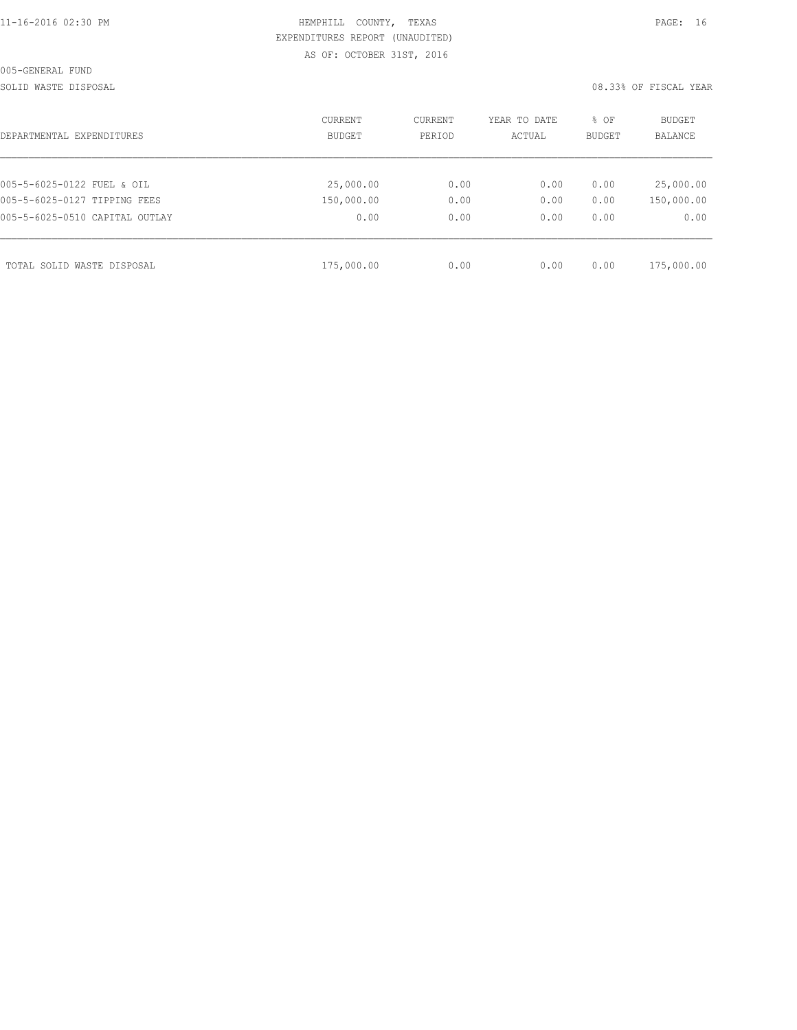SOLID WASTE DISPOSAL **EXECUTE:** 08.33% OF FISCAL YEAR

| DEPARTMENTAL EXPENDITURES      | <b>CURRENT</b><br>BUDGET | CURRENT<br>PERIOD | YEAR TO DATE<br>ACTUAL | % OF<br><b>BUDGET</b> | BUDGET<br><b>BALANCE</b> |
|--------------------------------|--------------------------|-------------------|------------------------|-----------------------|--------------------------|
|                                |                          |                   |                        |                       |                          |
| 005-5-6025-0122 FUEL & OIL     | 25,000.00                | 0.00              | 0.00                   | 0.00                  | 25,000.00                |
| 005-5-6025-0127 TIPPING FEES   | 150,000.00               | 0.00              | 0.00                   | 0.00                  | 150,000.00               |
| 005-5-6025-0510 CAPITAL OUTLAY | 0.00                     | 0.00              | 0.00                   | 0.00                  | 0.00                     |
|                                |                          |                   |                        |                       |                          |
| TOTAL SOLID WASTE DISPOSAL     | 175,000.00               | 0.00              | 0.00                   | 0.00                  | 175,000.00               |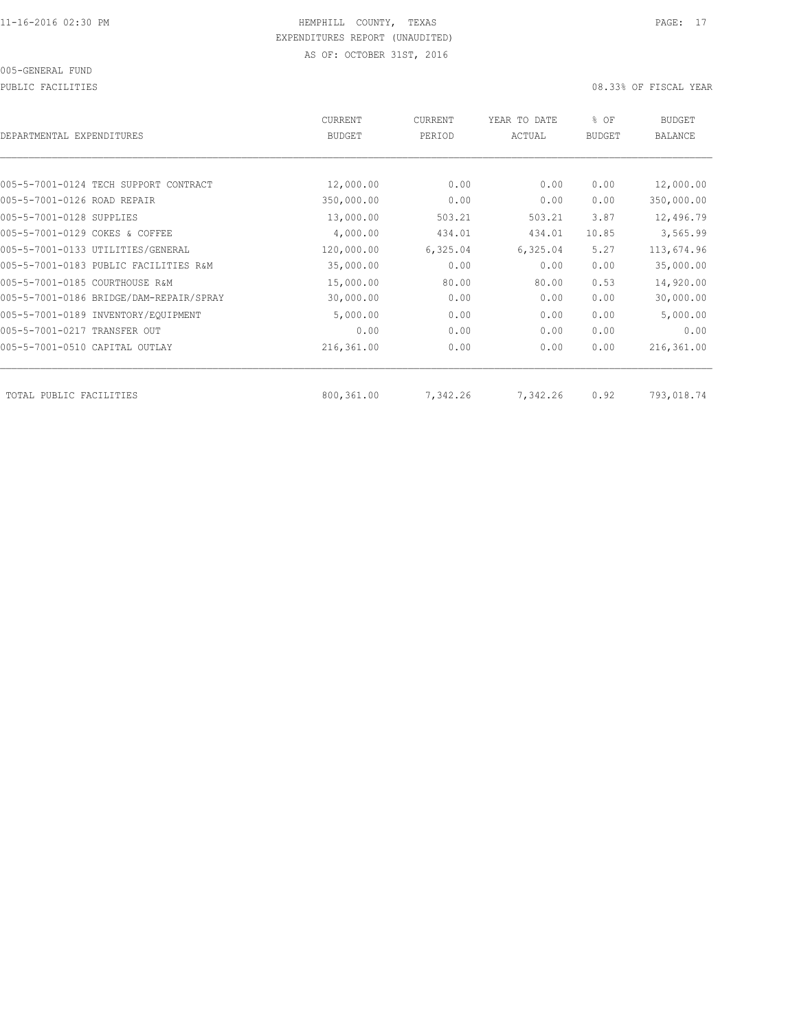PUBLIC FACILITIES 08.33% OF FISCAL YEAR

| DEPARTMENTAL EXPENDITURES               | <b>CURRENT</b><br><b>BUDGET</b> | <b>CURRENT</b><br>PERIOD | YEAR TO DATE<br>ACTUAL | % OF<br><b>BUDGET</b> | <b>BUDGET</b><br><b>BALANCE</b> |
|-----------------------------------------|---------------------------------|--------------------------|------------------------|-----------------------|---------------------------------|
|                                         |                                 |                          |                        |                       |                                 |
| 005-5-7001-0124 TECH SUPPORT CONTRACT   | 12,000.00                       | 0.00                     | 0.00                   | 0.00                  | 12,000.00                       |
| 005-5-7001-0126 ROAD REPAIR             | 350,000.00                      | 0.00                     | 0.00                   | 0.00                  | 350,000.00                      |
| 005-5-7001-0128 SUPPLIES                | 13,000.00                       | 503.21                   | 503.21                 | 3.87                  | 12,496.79                       |
| 005-5-7001-0129 COKES & COFFEE          | 4,000.00                        | 434.01                   | 434.01                 | 10.85                 | 3,565.99                        |
| 005-5-7001-0133 UTILITIES/GENERAL       | 120,000.00                      | 6,325.04                 | 6,325.04               | 5.27                  | 113,674.96                      |
| 005-5-7001-0183 PUBLIC FACILITIES R&M   | 35,000.00                       | 0.00                     | 0.00                   | 0.00                  | 35,000.00                       |
| 005-5-7001-0185 COURTHOUSE R&M          | 15,000.00                       | 80.00                    | 80.00                  | 0.53                  | 14,920.00                       |
| 005-5-7001-0186 BRIDGE/DAM-REPAIR/SPRAY | 30,000.00                       | 0.00                     | 0.00                   | 0.00                  | 30,000.00                       |
| 005-5-7001-0189 INVENTORY/EQUIPMENT     | 5,000.00                        | 0.00                     | 0.00                   | 0.00                  | 5,000.00                        |
| 005-5-7001-0217 TRANSFER OUT            | 0.00                            | 0.00                     | 0.00                   | 0.00                  | 0.00                            |
| 005-5-7001-0510 CAPITAL OUTLAY          | 216,361.00                      | 0.00                     | 0.00                   | 0.00                  | 216,361.00                      |
| TOTAL PUBLIC FACILITIES                 | 800,361.00                      | 7,342.26                 | 7,342.26               | 0.92                  | 793,018.74                      |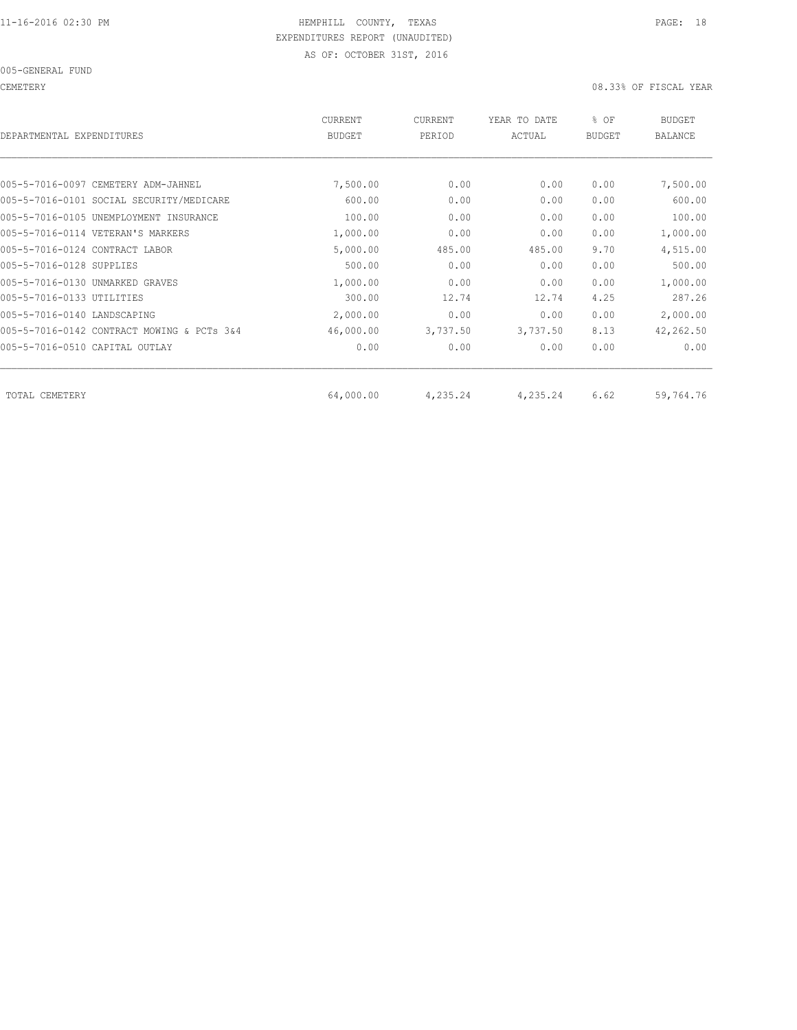CEMETERY 08.33% OF FISCAL YEAR

| DEPARTMENTAL EXPENDITURES                  | <b>CURRENT</b><br><b>BUDGET</b> | CURRENT<br>PERIOD | YEAR TO DATE<br>ACTUAL | % OF<br><b>BUDGET</b> | <b>BUDGET</b><br><b>BALANCE</b> |
|--------------------------------------------|---------------------------------|-------------------|------------------------|-----------------------|---------------------------------|
|                                            |                                 |                   |                        |                       |                                 |
| 005-5-7016-0097 CEMETERY ADM-JAHNEL        | 7,500.00                        | 0.00              | 0.00                   | 0.00                  | 7,500.00                        |
| 005-5-7016-0101 SOCIAL SECURITY/MEDICARE   | 600.00                          | 0.00              | 0.00                   | 0.00                  | 600.00                          |
| 005-5-7016-0105 UNEMPLOYMENT INSURANCE     | 100.00                          | 0.00              | 0.00                   | 0.00                  | 100.00                          |
| 005-5-7016-0114 VETERAN'S MARKERS          | 1,000.00                        | 0.00              | 0.00                   | 0.00                  | 1,000.00                        |
| 005-5-7016-0124 CONTRACT LABOR             | 5,000.00                        | 485.00            | 485.00                 | 9.70                  | 4,515.00                        |
| 005-5-7016-0128 SUPPLIES                   | 500.00                          | 0.00              | 0.00                   | 0.00                  | 500.00                          |
| 005-5-7016-0130 UNMARKED GRAVES            | 1,000.00                        | 0.00              | 0.00                   | 0.00                  | 1,000.00                        |
| 005-5-7016-0133 UTILITIES                  | 300.00                          | 12.74             | 12.74                  | 4.25                  | 287.26                          |
| 005-5-7016-0140 LANDSCAPING                | 2,000.00                        | 0.00              | 0.00                   | 0.00                  | 2,000.00                        |
| 005-5-7016-0142 CONTRACT MOWING & PCTs 3&4 | 46,000.00                       | 3,737.50          | 3,737.50               | 8.13                  | 42,262.50                       |
| 005-5-7016-0510 CAPITAL OUTLAY             | 0.00                            | 0.00              | 0.00                   | 0.00                  | 0.00                            |
|                                            |                                 |                   |                        |                       |                                 |
| TOTAL CEMETERY                             | 64,000.00                       | 4,235.24          | 4,235.24               | 6.62                  | 59,764.76                       |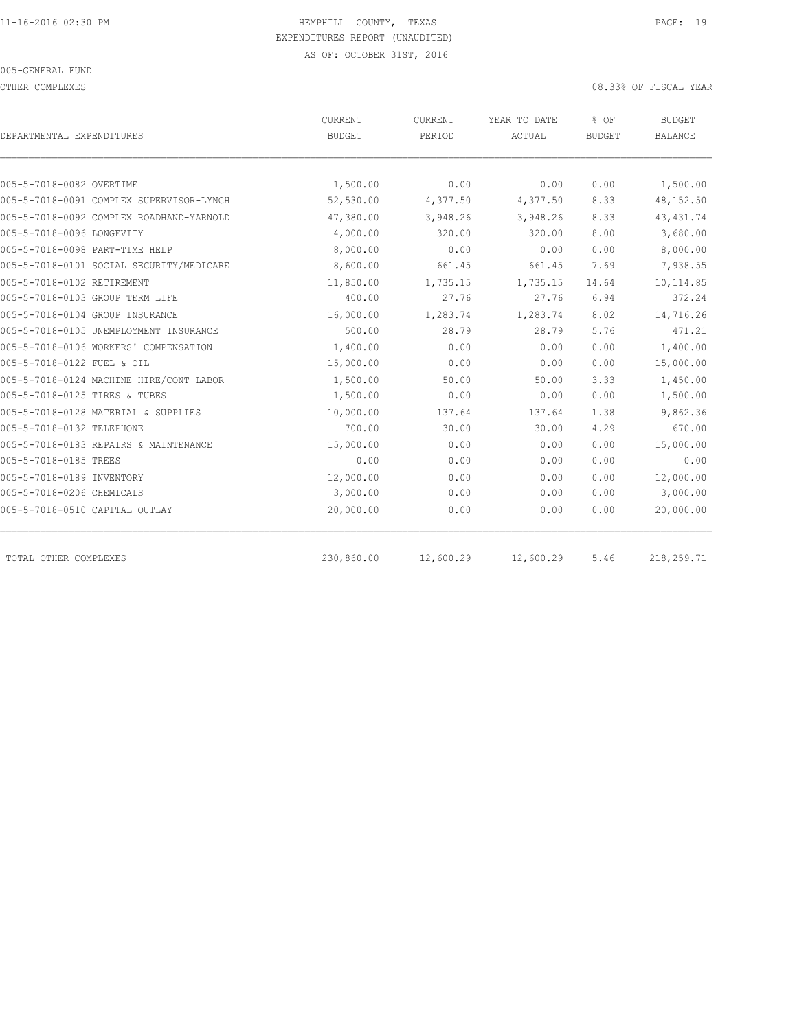OTHER COMPLEXES 08.33% OF FISCAL YEAR

|                                          | CURRENT       | CURRENT   | YEAR TO DATE | % OF          | <b>BUDGET</b>  |  |
|------------------------------------------|---------------|-----------|--------------|---------------|----------------|--|
| DEPARTMENTAL EXPENDITURES                | <b>BUDGET</b> | PERIOD    | ACTUAL       | <b>BUDGET</b> | <b>BALANCE</b> |  |
|                                          |               |           |              |               |                |  |
| 005-5-7018-0082 OVERTIME                 | 1,500.00      | 0.00      | 0.00         | 0.00          | 1,500.00       |  |
| 005-5-7018-0091 COMPLEX SUPERVISOR-LYNCH | 52,530.00     | 4,377.50  | 4,377.50     | 8.33          | 48,152.50      |  |
| 005-5-7018-0092 COMPLEX ROADHAND-YARNOLD | 47,380.00     | 3,948.26  | 3,948.26     | 8.33          | 43, 431.74     |  |
| 005-5-7018-0096 LONGEVITY                | 4,000.00      | 320.00    | 320.00       | 8.00          | 3,680.00       |  |
| 005-5-7018-0098 PART-TIME HELP           | 8,000.00      | 0.00      | 0.00         | 0.00          | 8,000.00       |  |
| 005-5-7018-0101 SOCIAL SECURITY/MEDICARE | 8,600.00      | 661.45    | 661.45       | 7.69          | 7,938.55       |  |
| 005-5-7018-0102 RETIREMENT               | 11,850.00     | 1,735.15  | 1,735.15     | 14.64         | 10,114.85      |  |
| 005-5-7018-0103 GROUP TERM LIFE          | 400.00        | 27.76     | 27.76        | 6.94          | 372.24         |  |
| 005-5-7018-0104 GROUP INSURANCE          | 16,000.00     | 1,283.74  | 1,283.74     | 8.02          | 14,716.26      |  |
| 005-5-7018-0105 UNEMPLOYMENT INSURANCE   | 500.00        | 28.79     | 28.79        | 5.76          | 471.21         |  |
| 005-5-7018-0106 WORKERS' COMPENSATION    | 1,400.00      | 0.00      | 0.00         | 0.00          | 1,400.00       |  |
| 005-5-7018-0122 FUEL & OIL               | 15,000.00     | 0.00      | 0.00         | 0.00          | 15,000.00      |  |
| 005-5-7018-0124 MACHINE HIRE/CONT LABOR  | 1,500.00      | 50.00     | 50.00        | 3.33          | 1,450.00       |  |
| 005-5-7018-0125 TIRES & TUBES            | 1,500.00      | 0.00      | 0.00         | 0.00          | 1,500.00       |  |
| 005-5-7018-0128 MATERIAL & SUPPLIES      | 10,000.00     | 137.64    | 137.64       | 1.38          | 9,862.36       |  |
| 005-5-7018-0132 TELEPHONE                | 700.00        | 30.00     | 30.00        | 4.29          | 670.00         |  |
| 005-5-7018-0183 REPAIRS & MAINTENANCE    | 15,000.00     | 0.00      | 0.00         | 0.00          | 15,000.00      |  |
| 005-5-7018-0185 TREES                    | 0.00          | 0.00      | 0.00         | 0.00          | 0.00           |  |
| 005-5-7018-0189 INVENTORY                | 12,000.00     | 0.00      | 0.00         | 0.00          | 12,000.00      |  |
| 005-5-7018-0206 CHEMICALS                | 3,000.00      | 0.00      | 0.00         | 0.00          | 3,000.00       |  |
| 005-5-7018-0510 CAPITAL OUTLAY           | 20,000.00     | 0.00      | 0.00         | 0.00          | 20,000.00      |  |
| TOTAL OTHER COMPLEXES                    | 230,860.00    | 12,600.29 | 12,600.29    | 5.46          | 218,259.71     |  |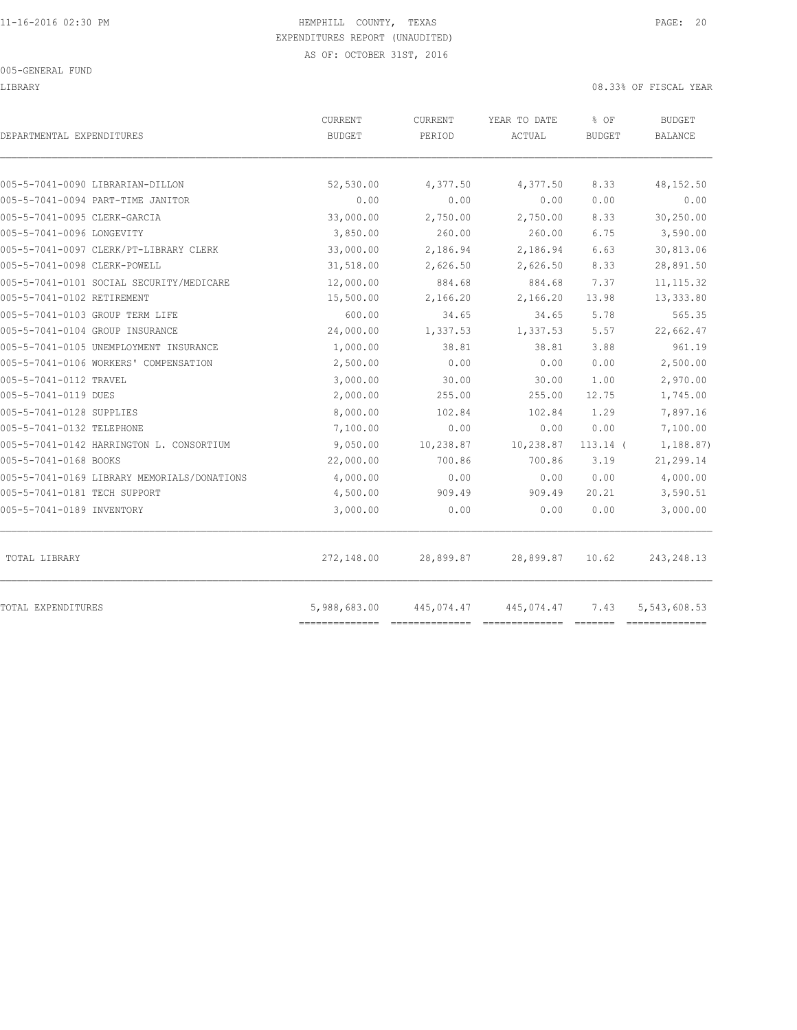LIBRARY 08.33% OF FISCAL YEAR

| DEPARTMENTAL EXPENDITURES                   | <b>CURRENT</b><br>BUDGET   | <b>CURRENT</b><br>PERIOD | YEAR TO DATE<br>ACTUAL | % OF<br><b>BUDGET</b> | BUDGET<br>BALANCE |
|---------------------------------------------|----------------------------|--------------------------|------------------------|-----------------------|-------------------|
| 005-5-7041-0090 LIBRARIAN-DILLON            | 52,530.00                  | 4,377.50                 | 4,377.50               | 8.33                  | 48,152.50         |
| 005-5-7041-0094 PART-TIME JANITOR           | 0.00                       | 0.00                     | 0.00                   | 0.00                  | 0.00              |
| 005-5-7041-0095 CLERK-GARCIA                | 33,000.00                  | 2,750.00                 | 2,750.00               | 8.33                  | 30,250.00         |
| 005-5-7041-0096 LONGEVITY                   | 3,850.00                   | 260.00                   | 260.00                 | 6.75                  | 3,590.00          |
| 005-5-7041-0097 CLERK/PT-LIBRARY CLERK      | 33,000.00                  | 2,186.94                 | 2,186.94               | 6.63                  | 30,813.06         |
| 005-5-7041-0098 CLERK-POWELL                | 31,518.00                  | 2,626.50                 | 2,626.50               | 8.33                  | 28,891.50         |
| 005-5-7041-0101 SOCIAL SECURITY/MEDICARE    | 12,000.00                  | 884.68                   | 884.68                 | 7.37                  | 11, 115.32        |
| 005-5-7041-0102 RETIREMENT                  | 15,500.00                  | 2,166.20                 | 2,166.20               | 13.98                 | 13,333.80         |
| 005-5-7041-0103 GROUP TERM LIFE             | 600.00                     | 34.65                    | 34.65                  | 5.78                  | 565.35            |
| 005-5-7041-0104 GROUP INSURANCE             | 24,000.00                  | 1,337.53                 | 1,337.53               | 5.57                  | 22,662.47         |
| 005-5-7041-0105 UNEMPLOYMENT INSURANCE      | 1,000.00                   | 38.81                    | 38.81                  | 3.88                  | 961.19            |
| 005-5-7041-0106 WORKERS' COMPENSATION       | 2,500.00                   | 0.00                     | 0.00                   | 0.00                  | 2,500.00          |
| 005-5-7041-0112 TRAVEL                      | 3,000.00                   | 30.00                    | 30.00                  | 1.00                  | 2,970.00          |
| 005-5-7041-0119 DUES                        | 2,000.00                   | 255.00                   | 255.00                 | 12.75                 | 1,745.00          |
| 005-5-7041-0128 SUPPLIES                    | 8,000.00                   | 102.84                   | 102.84                 | 1.29                  | 7,897.16          |
| 005-5-7041-0132 TELEPHONE                   | 7,100.00                   | 0.00                     | 0.00                   | 0.00                  | 7,100.00          |
| 005-5-7041-0142 HARRINGTON L. CONSORTIUM    | 9,050.00                   | 10,238.87                | 10,238.87              | $113.14$ (            | 1,188.87)         |
| 005-5-7041-0168 BOOKS                       | 22,000.00                  | 700.86                   | 700.86                 | 3.19                  | 21,299.14         |
| 005-5-7041-0169 LIBRARY MEMORIALS/DONATIONS | 4,000.00                   | 0.00                     | 0.00                   | 0.00                  | 4,000.00          |
| 005-5-7041-0181 TECH SUPPORT                | 4,500.00                   | 909.49                   | 909.49                 | 20.21                 | 3,590.51          |
| 005-5-7041-0189 INVENTORY                   | 3,000.00                   | 0.00                     | 0.00                   | 0.00                  | 3,000.00          |
| TOTAL LIBRARY                               | 272,148.00                 | 28,899.87                | 28,899.87              | 10.62                 | 243, 248.13       |
| TOTAL EXPENDITURES                          | 5,988,683.00<br>========== | 445,074.47               | 445,074.47             | 7.43                  | 5,543,608.53      |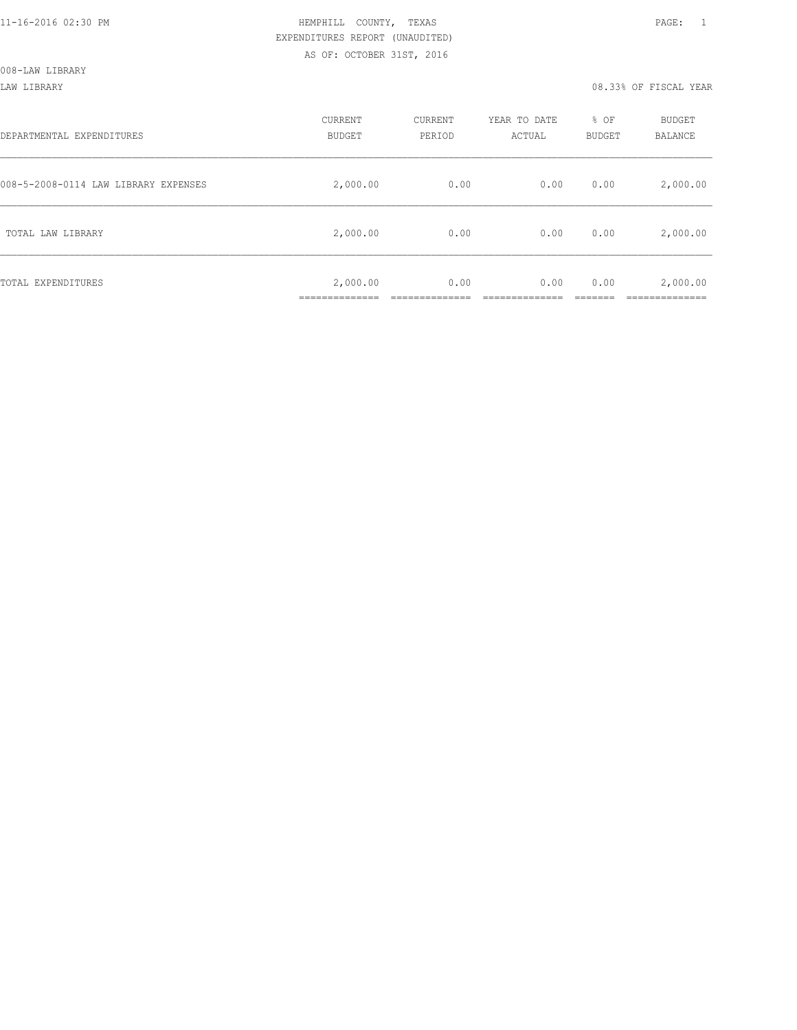008-LAW LIBRARY

#### LAW LIBRARY 08.33% OF FISCAL YEAR

| DEPARTMENTAL EXPENDITURES            | CURRENT<br><b>BUDGET</b> | CURRENT<br>PERIOD | YEAR TO DATE<br>ACTUAL | % OF<br>BUDGET | BUDGET<br>BALANCE      |
|--------------------------------------|--------------------------|-------------------|------------------------|----------------|------------------------|
| 008-5-2008-0114 LAW LIBRARY EXPENSES | 2,000.00                 | 0.00              | 0.00                   | 0.00           | 2,000.00               |
| TOTAL LAW LIBRARY                    | 2,000.00                 | 0.00              | 0.00                   | 0.00           | 2,000.00               |
| TOTAL EXPENDITURES                   | 2,000.00<br>___________  | 0.00              | 0.00                   | 0.00           | 2,000.00<br>__________ |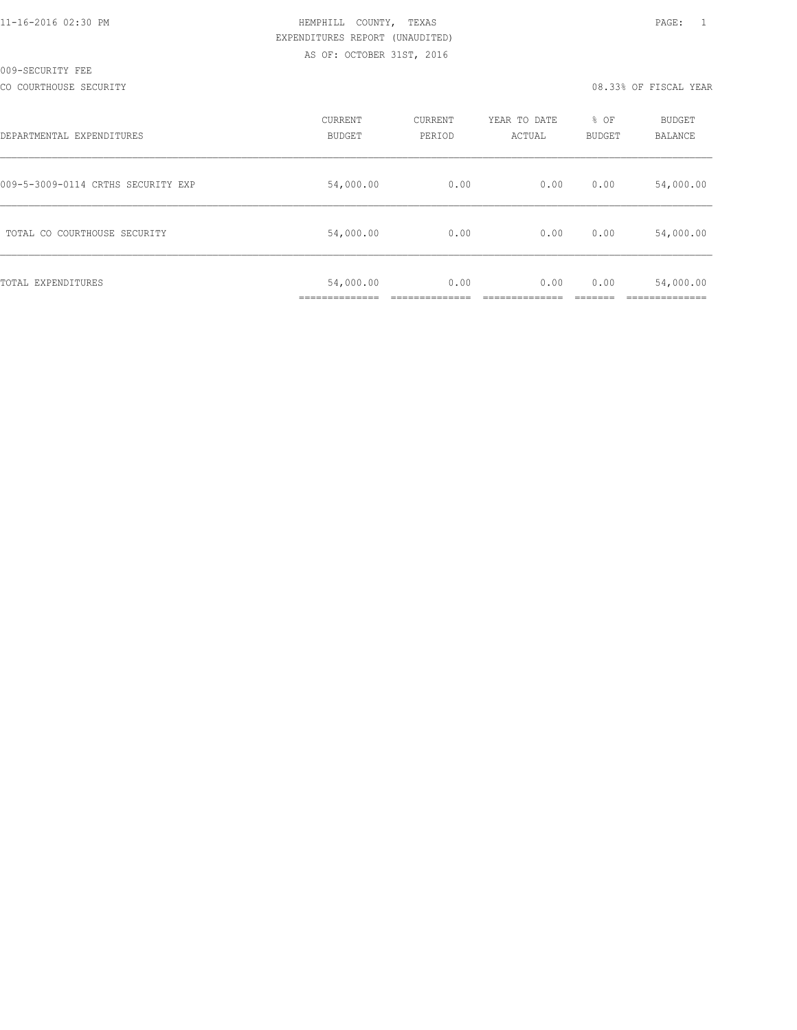#### CO COURTHOUSE SECURITY CONSULTED AND RELEASE OF SECOND VERRIFICAL YEAR OR SUPPOSE OF FISCAL YEAR

| DEPARTMENTAL EXPENDITURES          | CURRENT<br><b>BUDGET</b> | CURRENT<br>PERIOD | YEAR TO DATE<br>ACTUAL | % OF<br>BUDGET | <b>BUDGET</b><br>BALANCE |
|------------------------------------|--------------------------|-------------------|------------------------|----------------|--------------------------|
| 009-5-3009-0114 CRTHS SECURITY EXP | 54,000.00                | 0.00              | 0.00                   | 0.00           | 54,000.00                |
| TOTAL CO COURTHOUSE SECURITY       | 54,000.00                | 0.00              | 0.00                   | 0.00           | 54,000.00                |
| TOTAL EXPENDITURES                 | 54,000.00                | 0.00              | 0.00                   | 0.00           | 54,000.00                |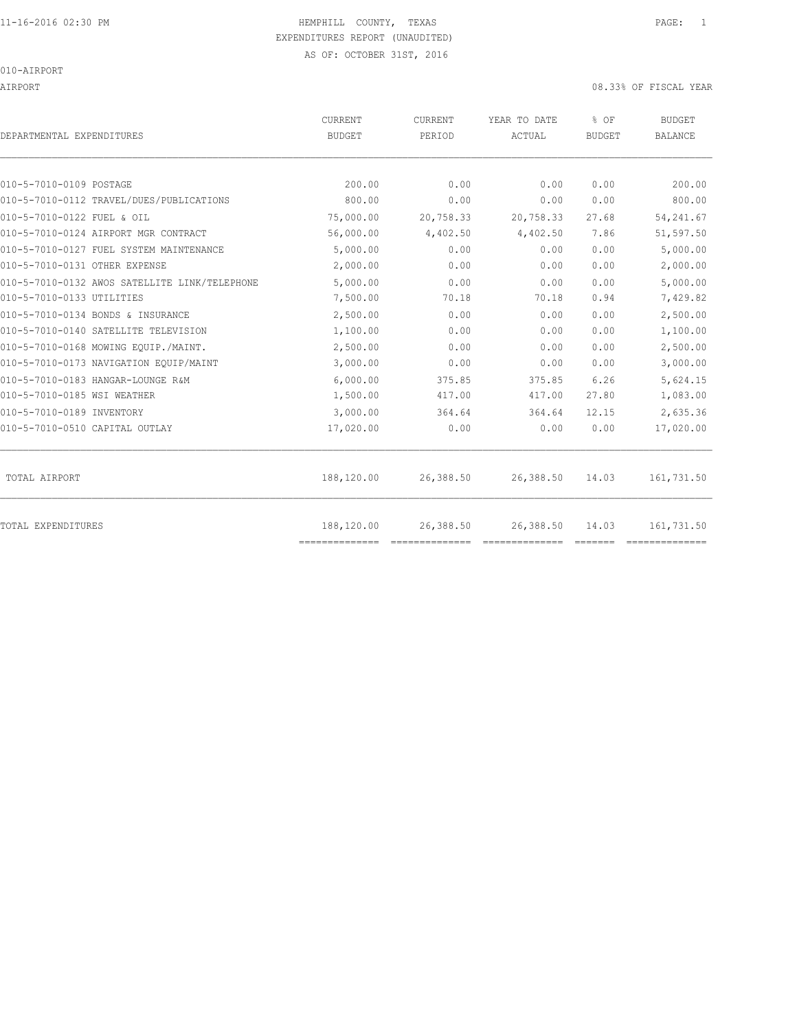AIRPORT 08.33% OF FISCAL YEAR

| DEPARTMENTAL EXPENDITURES                     | <b>CURRENT</b><br><b>BUDGET</b> | CURRENT<br>PERIOD | YEAR TO DATE<br>ACTUAL | % OF<br><b>BUDGET</b> | <b>BUDGET</b><br><b>BALANCE</b> |
|-----------------------------------------------|---------------------------------|-------------------|------------------------|-----------------------|---------------------------------|
|                                               |                                 |                   |                        |                       |                                 |
| 010-5-7010-0109 POSTAGE                       | 200.00                          | 0.00              | 0.00                   | 0.00                  | 200.00                          |
| 010-5-7010-0112 TRAVEL/DUES/PUBLICATIONS      | 800.00                          | 0.00              | 0.00                   | 0.00                  | 800.00                          |
| 010-5-7010-0122 FUEL & OIL                    | 75,000.00                       | 20,758.33         | 20,758.33              | 27.68                 | 54, 241.67                      |
| 010-5-7010-0124 AIRPORT MGR CONTRACT          | 56,000.00                       | 4,402.50          | 4,402.50               | 7.86                  | 51,597.50                       |
| 010-5-7010-0127 FUEL SYSTEM MAINTENANCE       | 5,000.00                        | 0.00              | 0.00                   | 0.00                  | 5,000.00                        |
| 010-5-7010-0131 OTHER EXPENSE                 | 2,000.00                        | 0.00              | 0.00                   | 0.00                  | 2,000.00                        |
| 010-5-7010-0132 AWOS SATELLITE LINK/TELEPHONE | 5,000.00                        | 0.00              | 0.00                   | 0.00                  | 5,000.00                        |
| 010-5-7010-0133 UTILITIES                     | 7,500.00                        | 70.18             | 70.18                  | 0.94                  | 7,429.82                        |
| 010-5-7010-0134 BONDS & INSURANCE             | 2,500.00                        | 0.00              | 0.00                   | 0.00                  | 2,500.00                        |
| 010-5-7010-0140 SATELLITE TELEVISION          | 1,100.00                        | 0.00              | 0.00                   | 0.00                  | 1,100.00                        |
| 010-5-7010-0168 MOWING EQUIP./MAINT.          | 2,500.00                        | 0.00              | 0.00                   | 0.00                  | 2,500.00                        |
| 010-5-7010-0173 NAVIGATION EQUIP/MAINT        | 3,000.00                        | 0.00              | 0.00                   | 0.00                  | 3,000.00                        |
| 010-5-7010-0183 HANGAR-LOUNGE R&M             | 6,000.00                        | 375.85            | 375.85                 | 6.26                  | 5,624.15                        |
| 010-5-7010-0185 WSI WEATHER                   | 1,500.00                        | 417.00            | 417.00                 | 27.80                 | 1,083.00                        |
| 010-5-7010-0189 INVENTORY                     | 3,000.00                        | 364.64            | 364.64                 | 12.15                 | 2,635.36                        |
| 010-5-7010-0510 CAPITAL OUTLAY                | 17,020.00                       | 0.00              | 0.00                   | 0.00                  | 17,020.00                       |
| TOTAL AIRPORT                                 | 188,120.00                      | 26,388.50         | 26,388.50              | 14.03                 | 161,731.50                      |
| TOTAL EXPENDITURES                            | 188,120.00<br>==============    | 26,388.50         | 26,388.50              | 14.03                 | 161,731.50                      |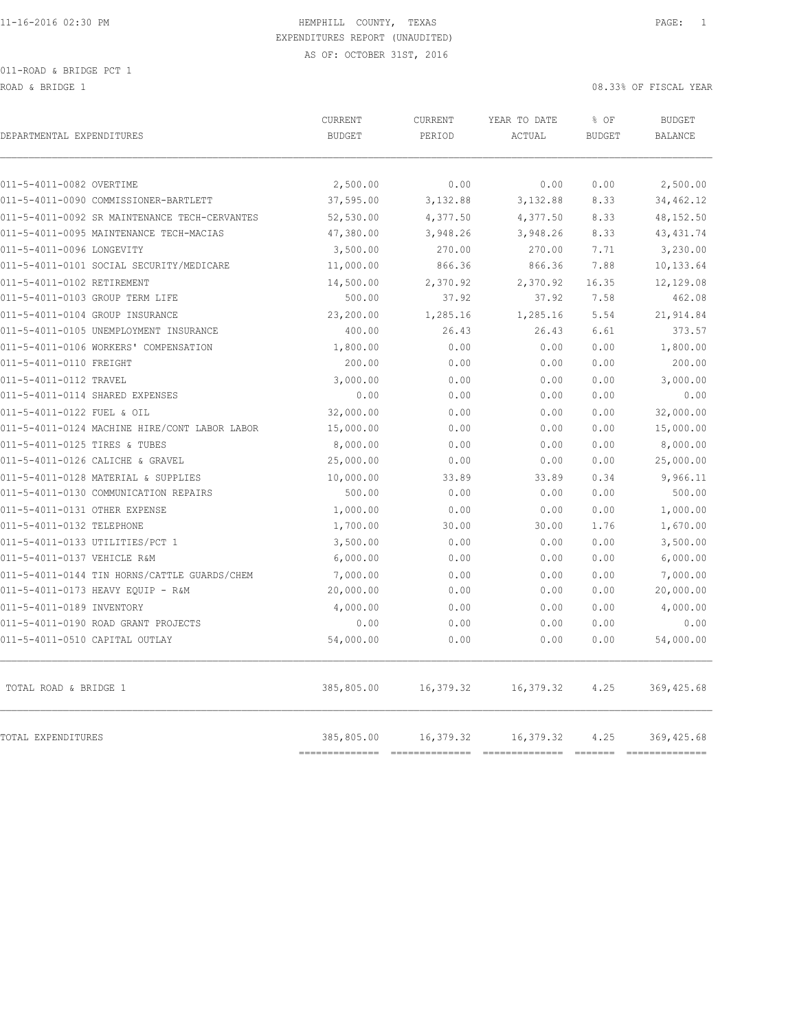ROAD & BRIDGE 1 08.33% OF FISCAL YEAR

| DEPARTMENTAL EXPENDITURES                     | <b>CURRENT</b><br><b>BUDGET</b> | CURRENT<br>PERIOD | YEAR TO DATE<br>ACTUAL | % OF<br><b>BUDGET</b> | <b>BUDGET</b><br><b>BALANCE</b> |
|-----------------------------------------------|---------------------------------|-------------------|------------------------|-----------------------|---------------------------------|
| 011-5-4011-0082 OVERTIME                      | 2,500.00                        | 0.00              | 0.00                   | 0.00                  | 2,500.00                        |
| 011-5-4011-0090 COMMISSIONER-BARTLETT         | 37,595.00                       | 3,132.88          | 3,132.88               | 8.33                  | 34,462.12                       |
| 011-5-4011-0092 SR MAINTENANCE TECH-CERVANTES | 52,530.00                       | 4,377.50          | 4,377.50               | 8.33                  | 48,152.50                       |
| 011-5-4011-0095 MAINTENANCE TECH-MACIAS       | 47,380.00                       | 3,948.26          | 3,948.26               | 8.33                  | 43, 431.74                      |
| 011-5-4011-0096 LONGEVITY                     | 3,500.00                        | 270.00            | 270.00                 | 7.71                  | 3,230.00                        |
| 011-5-4011-0101 SOCIAL SECURITY/MEDICARE      | 11,000.00                       | 866.36            | 866.36                 | 7.88                  | 10,133.64                       |
| 011-5-4011-0102 RETIREMENT                    | 14,500.00                       | 2,370.92          | 2,370.92               | 16.35                 | 12,129.08                       |
| 011-5-4011-0103 GROUP TERM LIFE               | 500.00                          | 37.92             | 37.92                  | 7.58                  | 462.08                          |
| 011-5-4011-0104 GROUP INSURANCE               | 23,200.00                       | 1,285.16          | 1,285.16               | 5.54                  | 21,914.84                       |
| 011-5-4011-0105 UNEMPLOYMENT INSURANCE        | 400.00                          | 26.43             | 26.43                  | 6.61                  | 373.57                          |
| 011-5-4011-0106 WORKERS' COMPENSATION         | 1,800.00                        | 0.00              | 0.00                   | 0.00                  | 1,800.00                        |
| 011-5-4011-0110 FREIGHT                       | 200.00                          | 0.00              | 0.00                   | 0.00                  | 200.00                          |
| 011-5-4011-0112 TRAVEL                        | 3,000.00                        | 0.00              | 0.00                   | 0.00                  | 3,000.00                        |
| 011-5-4011-0114 SHARED EXPENSES               | 0.00                            | 0.00              | 0.00                   | 0.00                  | 0.00                            |
| 011-5-4011-0122 FUEL & OIL                    | 32,000.00                       | 0.00              | 0.00                   | 0.00                  | 32,000.00                       |
| 011-5-4011-0124 MACHINE HIRE/CONT LABOR LABOR | 15,000.00                       | 0.00              | 0.00                   | 0.00                  | 15,000.00                       |
| 011-5-4011-0125 TIRES & TUBES                 | 8,000.00                        | 0.00              | 0.00                   | 0.00                  | 8,000.00                        |
| 011-5-4011-0126 CALICHE & GRAVEL              | 25,000.00                       | 0.00              | 0.00                   | 0.00                  | 25,000.00                       |
| 011-5-4011-0128 MATERIAL & SUPPLIES           | 10,000.00                       | 33.89             | 33.89                  | 0.34                  | 9,966.11                        |
| 011-5-4011-0130 COMMUNICATION REPAIRS         | 500.00                          | 0.00              | 0.00                   | 0.00                  | 500.00                          |
| 011-5-4011-0131 OTHER EXPENSE                 | 1,000.00                        | 0.00              | 0.00                   | 0.00                  | 1,000.00                        |
| 011-5-4011-0132 TELEPHONE                     | 1,700.00                        | 30.00             | 30.00                  | 1.76                  | 1,670.00                        |
| 011-5-4011-0133 UTILITIES/PCT 1               | 3,500.00                        | 0.00              | 0.00                   | 0.00                  | 3,500.00                        |
| 011-5-4011-0137 VEHICLE R&M                   | 6,000.00                        | 0.00              | 0.00                   | 0.00                  | 6,000.00                        |
| 011-5-4011-0144 TIN HORNS/CATTLE GUARDS/CHEM  | 7,000.00                        | 0.00              | 0.00                   | 0.00                  | 7,000.00                        |
| 011-5-4011-0173 HEAVY EQUIP - R&M             | 20,000.00                       | 0.00              | 0.00                   | 0.00                  | 20,000.00                       |
| 011-5-4011-0189 INVENTORY                     | 4,000.00                        | 0.00              | 0.00                   | 0.00                  | 4,000.00                        |
| 011-5-4011-0190 ROAD GRANT PROJECTS           | 0.00                            | 0.00              | 0.00                   | 0.00                  | 0.00                            |
| 011-5-4011-0510 CAPITAL OUTLAY                | 54,000.00                       | 0.00              | 0.00                   | 0.00                  | 54,000.00                       |
| TOTAL ROAD & BRIDGE 1                         | 385,805.00                      | 16,379.32         | 16,379.32              | 4.25                  | 369, 425.68                     |
| TOTAL EXPENDITURES                            | 385,805.00<br>=========         | 16,379.32         | 16,379.32              | 4.25<br>-------       | 369, 425.68<br>7777777777       |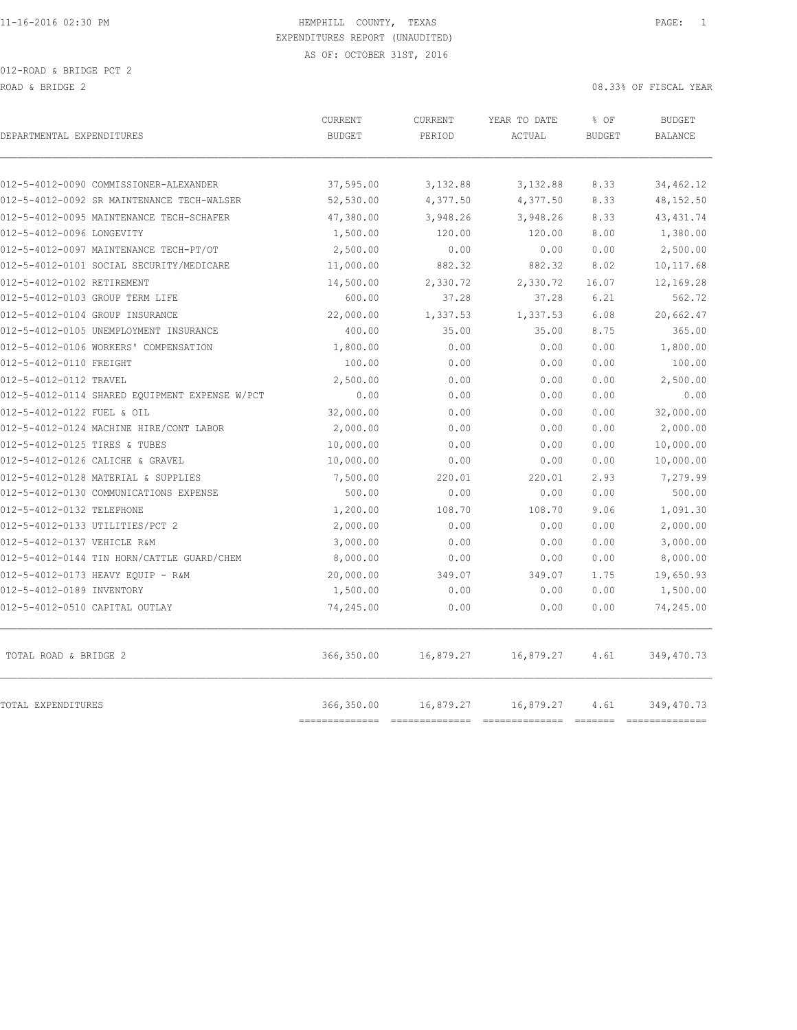012-ROAD & BRIDGE PCT 2

ROAD & BRIDGE 2 08.33% OF FISCAL YEAR

| DEPARTMENTAL EXPENDITURES                      | CURRENT<br><b>BUDGET</b> | CURRENT<br>PERIOD | YEAR TO DATE<br>ACTUAL | % OF<br><b>BUDGET</b>   | <b>BUDGET</b><br>BALANCE  |
|------------------------------------------------|--------------------------|-------------------|------------------------|-------------------------|---------------------------|
|                                                |                          |                   |                        |                         |                           |
| 012-5-4012-0090 COMMISSIONER-ALEXANDER         | 37,595.00                | 3,132.88          | 3,132.88               | 8.33                    | 34,462.12                 |
| 012-5-4012-0092 SR MAINTENANCE TECH-WALSER     | 52,530.00                | 4,377.50          | 4,377.50               | 8.33                    | 48,152.50                 |
| 012-5-4012-0095 MAINTENANCE TECH-SCHAFER       | 47,380.00                | 3,948.26          | 3,948.26               | 8.33                    | 43, 431.74                |
| 012-5-4012-0096 LONGEVITY                      | 1,500.00                 | 120.00            | 120.00                 | 8.00                    | 1,380.00                  |
| 012-5-4012-0097 MAINTENANCE TECH-PT/OT         | 2,500.00                 | 0.00              | 0.00                   | 0.00                    | 2,500.00                  |
| 012-5-4012-0101 SOCIAL SECURITY/MEDICARE       | 11,000.00                | 882.32            | 882.32                 | 8.02                    | 10,117.68                 |
| 012-5-4012-0102 RETIREMENT                     | 14,500.00                | 2,330.72          | 2,330.72               | 16.07                   | 12,169.28                 |
| 012-5-4012-0103 GROUP TERM LIFE                | 600.00                   | 37.28             | 37.28                  | 6.21                    | 562.72                    |
| 012-5-4012-0104 GROUP INSURANCE                | 22,000.00                | 1,337.53          | 1,337.53               | 6.08                    | 20,662.47                 |
| 012-5-4012-0105 UNEMPLOYMENT INSURANCE         | 400.00                   | 35.00             | 35.00                  | 8.75                    | 365.00                    |
| 012-5-4012-0106 WORKERS' COMPENSATION          | 1,800.00                 | 0.00              | 0.00                   | 0.00                    | 1,800.00                  |
| 012-5-4012-0110 FREIGHT                        | 100.00                   | 0.00              | 0.00                   | 0.00                    | 100.00                    |
| 012-5-4012-0112 TRAVEL                         | 2,500.00                 | 0.00              | 0.00                   | 0.00                    | 2,500.00                  |
| 012-5-4012-0114 SHARED EQUIPMENT EXPENSE W/PCT | 0.00                     | 0.00              | 0.00                   | 0.00                    | 0.00                      |
| 012-5-4012-0122 FUEL & OIL                     | 32,000.00                | 0.00              | 0.00                   | 0.00                    | 32,000.00                 |
| 012-5-4012-0124 MACHINE HIRE/CONT LABOR        | 2,000.00                 | 0.00              | 0.00                   | 0.00                    | 2,000.00                  |
| 012-5-4012-0125 TIRES & TUBES                  | 10,000.00                | 0.00              | 0.00                   | 0.00                    | 10,000.00                 |
| 012-5-4012-0126 CALICHE & GRAVEL               | 10,000.00                | 0.00              | 0.00                   | 0.00                    | 10,000.00                 |
| 012-5-4012-0128 MATERIAL & SUPPLIES            | 7,500.00                 | 220.01            | 220.01                 | 2.93                    | 7,279.99                  |
| 012-5-4012-0130 COMMUNICATIONS EXPENSE         | 500.00                   | 0.00              | 0.00                   | 0.00                    | 500.00                    |
| 012-5-4012-0132 TELEPHONE                      | 1,200.00                 | 108.70            | 108.70                 | 9.06                    | 1,091.30                  |
| 012-5-4012-0133 UTILITIES/PCT 2                | 2,000.00                 | 0.00              | 0.00                   | 0.00                    | 2,000.00                  |
| 012-5-4012-0137 VEHICLE R&M                    | 3,000.00                 | 0.00              | 0.00                   | 0.00                    | 3,000.00                  |
| 012-5-4012-0144 TIN HORN/CATTLE GUARD/CHEM     | 8,000.00                 | 0.00              | 0.00                   | 0.00                    | 8,000.00                  |
| 012-5-4012-0173 HEAVY EQUIP - R&M              | 20,000.00                | 349.07            | 349.07                 | 1.75                    | 19,650.93                 |
| 012-5-4012-0189 INVENTORY                      | 1,500.00                 | 0.00              | 0.00                   | 0.00                    | 1,500.00                  |
| 012-5-4012-0510 CAPITAL OUTLAY                 | 74,245.00                | 0.00              | 0.00                   | 0.00                    | 74,245.00                 |
| TOTAL ROAD & BRIDGE 2                          | 366,350.00               | 16,879.27         | 16,879.27              | 4.61                    | 349,470.73                |
| TOTAL EXPENDITURES                             | 366,350.00<br>========== | 16,879.27         | 16,879.27              | 4.61<br><b>CONSIDER</b> | 349,470.73<br>----------- |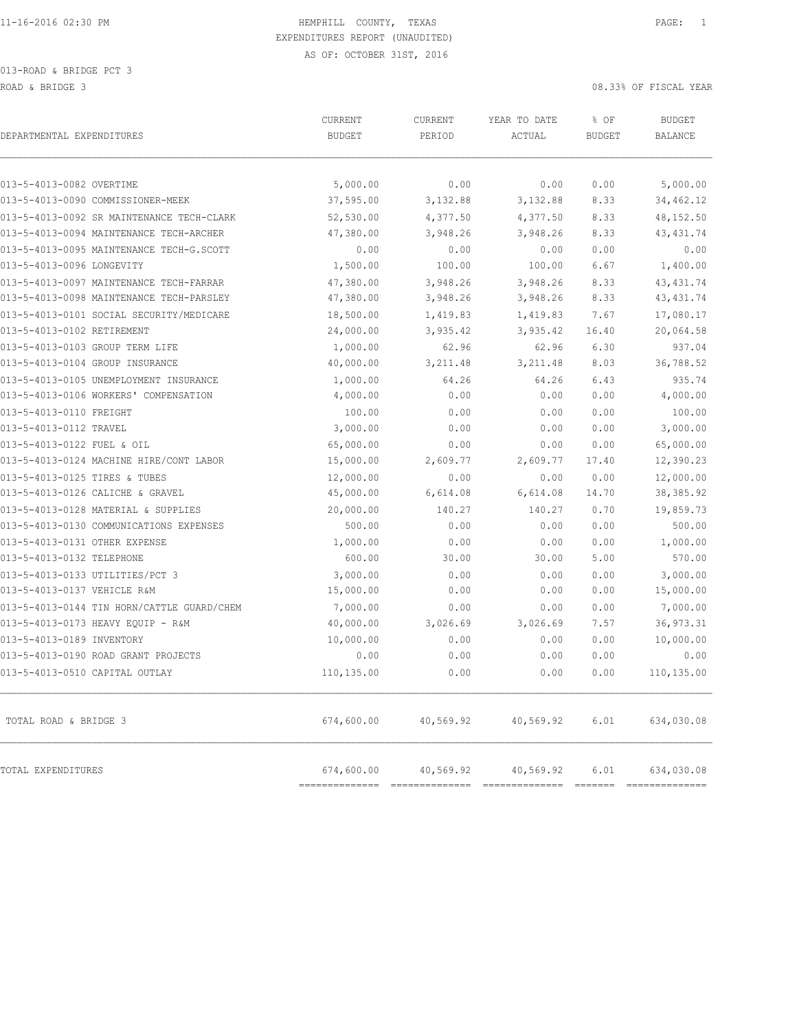| DEPARTMENTAL EXPENDITURES                                     | CURRENT<br><b>BUDGET</b> | CURRENT<br>PERIOD | YEAR TO DATE<br>ACTUAL | % OF<br><b>BUDGET</b> | <b>BUDGET</b><br><b>BALANCE</b> |
|---------------------------------------------------------------|--------------------------|-------------------|------------------------|-----------------------|---------------------------------|
|                                                               |                          |                   |                        |                       |                                 |
| 013-5-4013-0082 OVERTIME<br>013-5-4013-0090 COMMISSIONER-MEEK | 5,000.00<br>37,595.00    | 0.00<br>3,132.88  | 0.00<br>3,132.88       | 0.00<br>8.33          | 5,000.00<br>34,462.12           |
| 013-5-4013-0092 SR MAINTENANCE TECH-CLARK                     | 52,530.00                | 4,377.50          | 4,377.50               | 8.33                  | 48,152.50                       |
| 013-5-4013-0094 MAINTENANCE TECH-ARCHER                       | 47,380.00                | 3,948.26          | 3,948.26               | 8.33                  | 43, 431.74                      |
| 013-5-4013-0095 MAINTENANCE TECH-G.SCOTT                      |                          | 0.00              | 0.00                   | 0.00                  | 0.00                            |
| 013-5-4013-0096 LONGEVITY                                     | 0.00<br>1,500.00         | 100.00            | 100.00                 | 6.67                  | 1,400.00                        |
|                                                               |                          |                   |                        |                       |                                 |
| 013-5-4013-0097 MAINTENANCE TECH-FARRAR                       | 47,380.00<br>47,380.00   | 3,948.26          | 3,948.26               | 8.33                  | 43, 431.74                      |
| 013-5-4013-0098 MAINTENANCE TECH-PARSLEY                      |                          | 3,948.26          | 3,948.26               | 8.33                  | 43, 431.74                      |
| 013-5-4013-0101 SOCIAL SECURITY/MEDICARE                      | 18,500.00                | 1,419.83          | 1,419.83               | 7.67                  | 17,080.17                       |
| 013-5-4013-0102 RETIREMENT                                    | 24,000.00                | 3,935.42          | 3,935.42               | 16.40                 | 20,064.58                       |
| 013-5-4013-0103 GROUP TERM LIFE                               | 1,000.00                 | 62.96             | 62.96                  | 6.30                  | 937.04                          |
| 013-5-4013-0104 GROUP INSURANCE                               | 40,000.00                | 3, 211.48         | 3, 211.48              | 8.03                  | 36,788.52                       |
| 013-5-4013-0105 UNEMPLOYMENT INSURANCE                        | 1,000.00                 | 64.26             | 64.26                  | 6.43                  | 935.74                          |
| 013-5-4013-0106 WORKERS' COMPENSATION                         | 4,000.00                 | 0.00              | 0.00                   | 0.00                  | 4,000.00                        |
| 013-5-4013-0110 FREIGHT                                       | 100.00                   | 0.00              | 0.00                   | 0.00                  | 100.00                          |
| 013-5-4013-0112 TRAVEL                                        | 3,000.00                 | 0.00              | 0.00                   | 0.00                  | 3,000.00                        |
| 013-5-4013-0122 FUEL & OIL                                    | 65,000.00                | 0.00              | 0.00                   | 0.00                  | 65,000.00                       |
| 013-5-4013-0124 MACHINE HIRE/CONT LABOR                       | 15,000.00                | 2,609.77          | 2,609.77               | 17.40                 | 12,390.23                       |
| 013-5-4013-0125 TIRES & TUBES                                 | 12,000.00                | 0.00              | 0.00                   | 0.00                  | 12,000.00                       |
| 013-5-4013-0126 CALICHE & GRAVEL                              | 45,000.00                | 6,614.08          | 6,614.08               | 14.70                 | 38, 385.92                      |
| 013-5-4013-0128 MATERIAL & SUPPLIES                           | 20,000.00                | 140.27            | 140.27                 | 0.70                  | 19,859.73                       |
| 013-5-4013-0130 COMMUNICATIONS EXPENSES                       | 500.00                   | 0.00              | 0.00                   | 0.00                  | 500.00                          |
| 013-5-4013-0131 OTHER EXPENSE                                 | 1,000.00                 | 0.00              | 0.00                   | 0.00                  | 1,000.00                        |
| 013-5-4013-0132 TELEPHONE                                     | 600.00                   | 30.00             | 30.00                  | 5.00                  | 570.00                          |
| 013-5-4013-0133 UTILITIES/PCT 3                               | 3,000.00                 | 0.00              | 0.00                   | 0.00                  | 3,000.00                        |
| 013-5-4013-0137 VEHICLE R&M                                   | 15,000.00                | 0.00              | 0.00                   | 0.00                  | 15,000.00                       |
| 013-5-4013-0144 TIN HORN/CATTLE GUARD/CHEM                    | 7,000.00                 | 0.00              | 0.00                   | 0.00                  | 7,000.00                        |
| 013-5-4013-0173 HEAVY EQUIP - R&M                             | 40,000.00                | 3,026.69          | 3,026.69               | 7.57                  | 36, 973.31                      |
| 013-5-4013-0189 INVENTORY                                     | 10,000.00                | 0.00              | 0.00                   | 0.00                  | 10,000.00                       |
| 013-5-4013-0190 ROAD GRANT PROJECTS                           | 0.00                     | 0.00              | 0.00                   | 0.00                  | 0.00                            |
| 013-5-4013-0510 CAPITAL OUTLAY                                | 110,135.00               | 0.00              | 0.00                   | 0.00                  | 110,135.00                      |
| TOTAL ROAD & BRIDGE 3                                         | 674,600.00               | 40,569.92         | 40,569.92              | 6.01                  | 634,030.08                      |
| TOTAL EXPENDITURES                                            | 674,600.00               | 40,569.92         | 40,569.92              | 6.01                  | 634,030.08                      |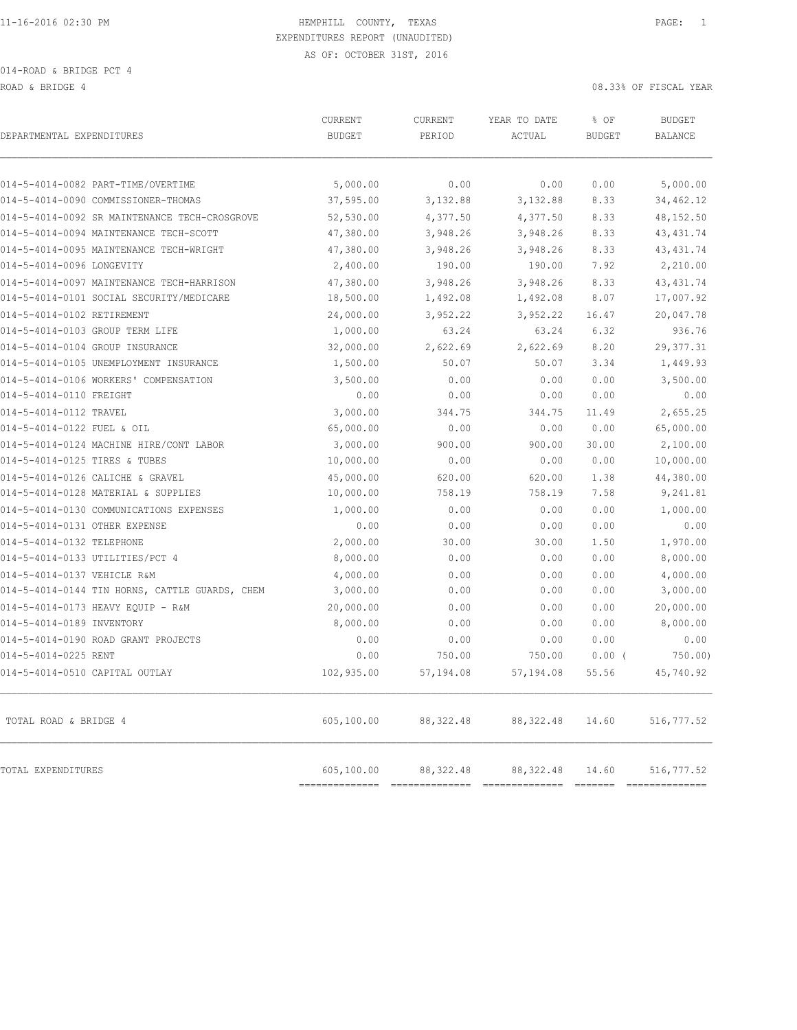ROAD & BRIDGE 4 08.33% OF FISCAL YEAR (1999) AND ROAD & BRIDGE 4

| DEPARTMENTAL EXPENDITURES                      | CURRENT<br><b>BUDGET</b> | CURRENT<br>PERIOD | YEAR TO DATE<br>ACTUAL               | % OF<br><b>BUDGET</b> | <b>BUDGET</b><br><b>BALANCE</b> |
|------------------------------------------------|--------------------------|-------------------|--------------------------------------|-----------------------|---------------------------------|
| 014-5-4014-0082 PART-TIME/OVERTIME             | 5,000.00                 | 0.00              | 0.00                                 | 0.00                  | 5,000.00                        |
| 014-5-4014-0090 COMMISSIONER-THOMAS            | 37,595.00                | 3,132.88          | 3,132.88                             | 8.33                  | 34,462.12                       |
| 014-5-4014-0092 SR MAINTENANCE TECH-CROSGROVE  | 52,530.00                | 4,377.50          | 4,377.50                             | 8.33                  | 48,152.50                       |
| 014-5-4014-0094 MAINTENANCE TECH-SCOTT         | 47,380.00                | 3,948.26          | 3,948.26                             | 8.33                  | 43, 431.74                      |
| 014-5-4014-0095 MAINTENANCE TECH-WRIGHT        | 47,380.00                | 3,948.26          | 3,948.26                             | 8.33                  | 43, 431.74                      |
| 014-5-4014-0096 LONGEVITY                      | 2,400.00                 | 190.00            | 190.00                               | 7.92                  | 2,210.00                        |
| 014-5-4014-0097 MAINTENANCE TECH-HARRISON      | 47,380.00                | 3,948.26          | 3,948.26                             | 8.33                  | 43, 431.74                      |
| 014-5-4014-0101 SOCIAL SECURITY/MEDICARE       | 18,500.00                | 1,492.08          | 1,492.08                             | 8.07                  | 17,007.92                       |
| 014-5-4014-0102 RETIREMENT                     | 24,000.00                | 3,952.22          | 3,952.22                             | 16.47                 | 20,047.78                       |
| 014-5-4014-0103 GROUP TERM LIFE                | 1,000.00                 | 63.24             | 63.24                                | 6.32                  | 936.76                          |
| 014-5-4014-0104 GROUP INSURANCE                | 32,000.00                | 2,622.69          | 2,622.69                             | 8.20                  | 29, 377.31                      |
| 014-5-4014-0105 UNEMPLOYMENT INSURANCE         | 1,500.00                 | 50.07             | 50.07                                | 3.34                  | 1,449.93                        |
| 014-5-4014-0106 WORKERS' COMPENSATION          | 3,500.00                 | 0.00              | 0.00                                 | 0.00                  | 3,500.00                        |
| 014-5-4014-0110 FREIGHT                        | 0.00                     | 0.00              | 0.00                                 | 0.00                  | 0.00                            |
| 014-5-4014-0112 TRAVEL                         | 3,000.00                 | 344.75            | 344.75                               | 11.49                 | 2,655.25                        |
| 014-5-4014-0122 FUEL & OIL                     | 65,000.00                | 0.00              | 0.00                                 | 0.00                  | 65,000.00                       |
| 014-5-4014-0124 MACHINE HIRE/CONT LABOR        | 3,000.00                 | 900.00            | 900.00                               | 30.00                 | 2,100.00                        |
| 014-5-4014-0125 TIRES & TUBES                  | 10,000.00                | 0.00              | 0.00                                 | 0.00                  | 10,000.00                       |
| 014-5-4014-0126 CALICHE & GRAVEL               | 45,000.00                | 620.00            | 620.00                               | 1.38                  | 44,380.00                       |
| 014-5-4014-0128 MATERIAL & SUPPLIES            | 10,000.00                | 758.19            | 758.19                               | 7.58                  | 9,241.81                        |
| 014-5-4014-0130 COMMUNICATIONS EXPENSES        | 1,000.00                 | 0.00              | 0.00                                 | 0.00                  | 1,000.00                        |
| 014-5-4014-0131 OTHER EXPENSE                  | 0.00                     | 0.00              | 0.00                                 | 0.00                  | 0.00                            |
| 014-5-4014-0132 TELEPHONE                      | 2,000.00                 | 30.00             | 30.00                                | 1.50                  | 1,970.00                        |
| 014-5-4014-0133 UTILITIES/PCT 4                | 8,000.00                 | 0.00              | 0.00                                 | 0.00                  | 8,000.00                        |
| 014-5-4014-0137 VEHICLE R&M                    | 4,000.00                 | 0.00              | 0.00                                 | 0.00                  | 4,000.00                        |
| 014-5-4014-0144 TIN HORNS, CATTLE GUARDS, CHEM | 3,000.00                 | 0.00              | 0.00                                 | 0.00                  | 3,000.00                        |
| 014-5-4014-0173 HEAVY EQUIP - R&M              | 20,000.00                | 0.00              | 0.00                                 | 0.00                  | 20,000.00                       |
| 014-5-4014-0189 INVENTORY                      | 8,000.00                 | 0.00              | 0.00                                 | 0.00                  | 8,000.00                        |
| 014-5-4014-0190 ROAD GRANT PROJECTS            | 0.00                     | 0.00              | 0.00                                 | 0.00                  | 0.00                            |
| 014-5-4014-0225 RENT                           | 0.00                     | 750.00            | 750.00                               | $0.00$ (              | 750.00)                         |
| 014-5-4014-0510 CAPITAL OUTLAY                 | 102,935.00               | 57,194.08         | 57,194.08                            | 55.56                 | 45,740.92                       |
| TOTAL ROAD & BRIDGE 4                          | 605,100.00               | 88, 322.48        | 88, 322.48                           | 14.60                 | 516,777.52                      |
| TOTAL EXPENDITURES                             | 605,100.00<br>========== | 88, 322.48        | 88, 322.48<br>--------------- ------ | 14.60                 | 516,777.52<br>==============    |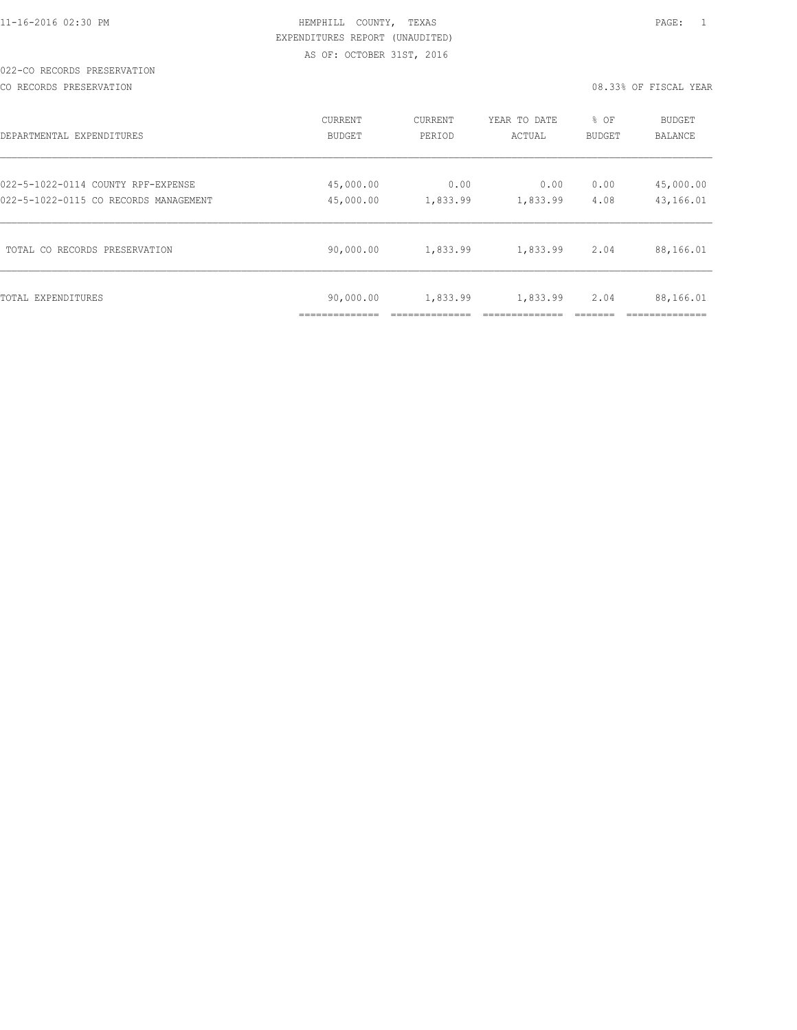|  |  |  |  | 11-16-2016 02:30 PM |  |
|--|--|--|--|---------------------|--|
|  |  |  |  |                     |  |

#### 022-CO RECORDS PRESERVATION

CO RECORDS PRESERVATION 08.33% OF FISCAL YEAR

| DEPARTMENTAL EXPENDITURES             | <b>CURRENT</b>            | <b>CURRENT</b> | YEAR TO DATE | % OF          | <b>BUDGET</b>  |
|---------------------------------------|---------------------------|----------------|--------------|---------------|----------------|
|                                       | <b>BUDGET</b>             | PERIOD         | ACTUAL       | <b>BUDGET</b> | <b>BALANCE</b> |
| 022-5-1022-0114 COUNTY RPF-EXPENSE    | 45,000.00                 | 0.00           | 0.00         | 0.00          | 45,000.00      |
| 022-5-1022-0115 CO RECORDS MANAGEMENT | 45,000.00                 | 1,833.99       | 1,833.99     | 4.08          | 43,166.01      |
| TOTAL CO RECORDS PRESERVATION         | 90,000.00                 | 1,833.99       | 1,833.99     | 2.04          | 88,166.01      |
| TOTAL EXPENDITURES                    | 90,000.00<br>____________ | 1,833.99       | 1,833.99     | 2.04          | 88,166.01      |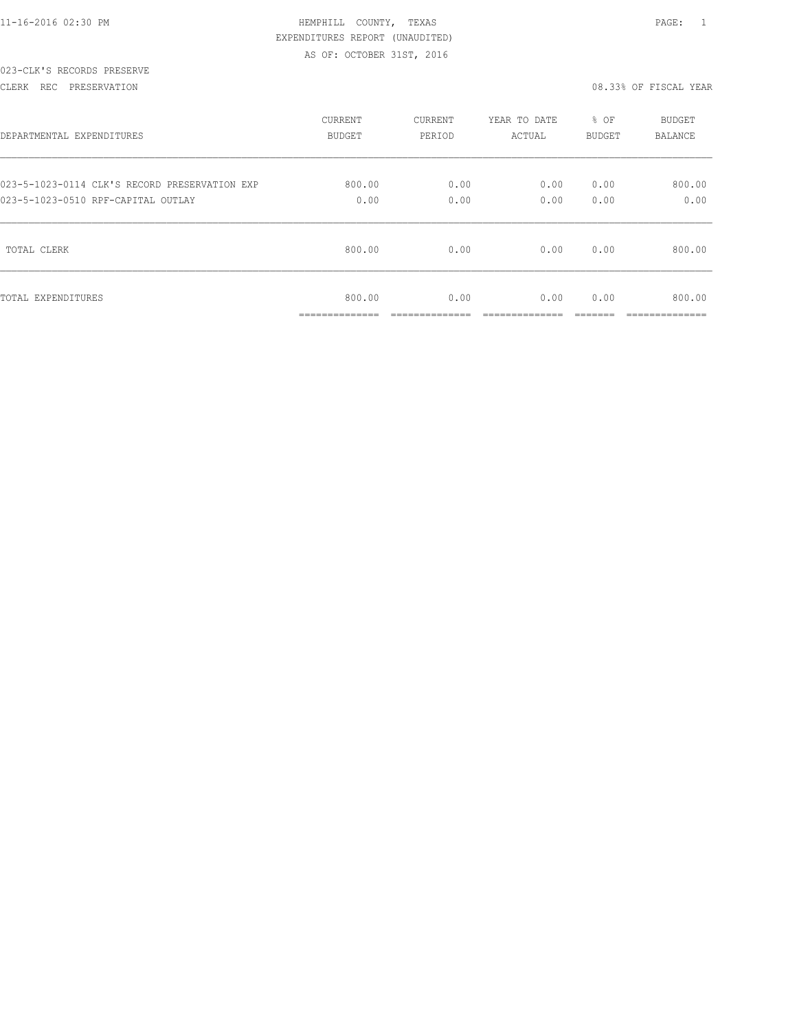|  |  | 11-16-2016 02:30 PM |  |
|--|--|---------------------|--|
|  |  |                     |  |

### 023-CLK'S RECORDS PRESERVE

CLERK REC PRESERVATION 08.33% OF FISCAL YEAR

| DEPARTMENTAL EXPENDITURES                     | <b>CURRENT</b>                         | CURRENT                | YEAR TO DATE          | % OF          | <b>BUDGET</b>            |
|-----------------------------------------------|----------------------------------------|------------------------|-----------------------|---------------|--------------------------|
|                                               | <b>BUDGET</b>                          | PERIOD                 | ACTUAL                | <b>BUDGET</b> | <b>BALANCE</b>           |
| 023-5-1023-0114 CLK'S RECORD PRESERVATION EXP | 800.00                                 | 0.00                   | 0.00                  | 0.00          | 800.00                   |
| 023-5-1023-0510 RPF-CAPITAL OUTLAY            | 0.00                                   | 0.00                   | 0.00                  | 0.00          | 0.00                     |
| TOTAL CLERK                                   | 800.00                                 | 0.00                   | 0.00                  | 0.00          | 800.00                   |
| TOTAL EXPENDITURES                            | 800.00<br>______________<br>---------- | 0.00<br>______________ | 0.00<br>_____________ | 0.00<br>_____ | 800.00<br>______________ |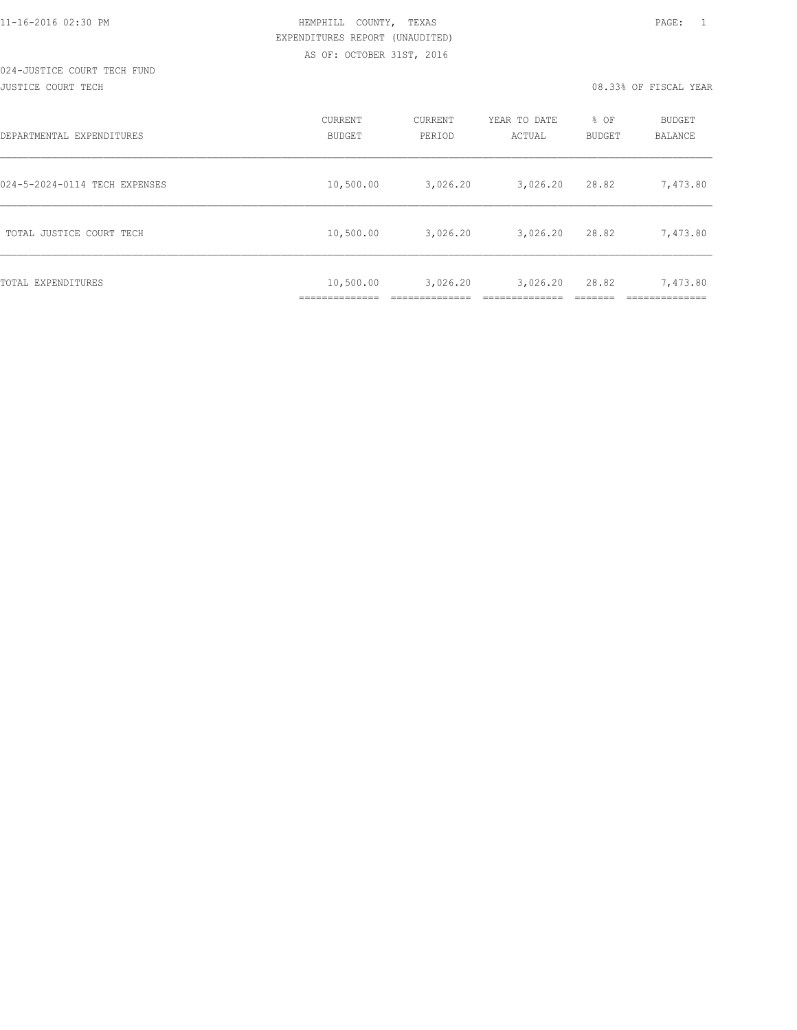JUSTICE COURT TECH 08.33% OF FISCAL YEAR

| DEPARTMENTAL EXPENDITURES     | CURRENT<br><b>BUDGET</b>         | CURRENT<br>PERIOD | YEAR TO DATE<br>ACTUAL | % OF<br><b>BUDGET</b> | <b>BUDGET</b><br>BALANCE |
|-------------------------------|----------------------------------|-------------------|------------------------|-----------------------|--------------------------|
| 024-5-2024-0114 TECH EXPENSES | 10,500.00                        | 3,026.20          | 3,026.20               | 28.82                 | 7,473.80                 |
| TOTAL JUSTICE COURT TECH      | 10,500.00                        | 3,026.20          | 3,026.20               | 28.82                 | 7,473.80                 |
| <b>TOTAL EXPENDITURES</b>     | 10,500.00<br>--------------<br>. | 3,026.20          | 3,026.20               | 28.82                 | 7,473.80<br>_________    |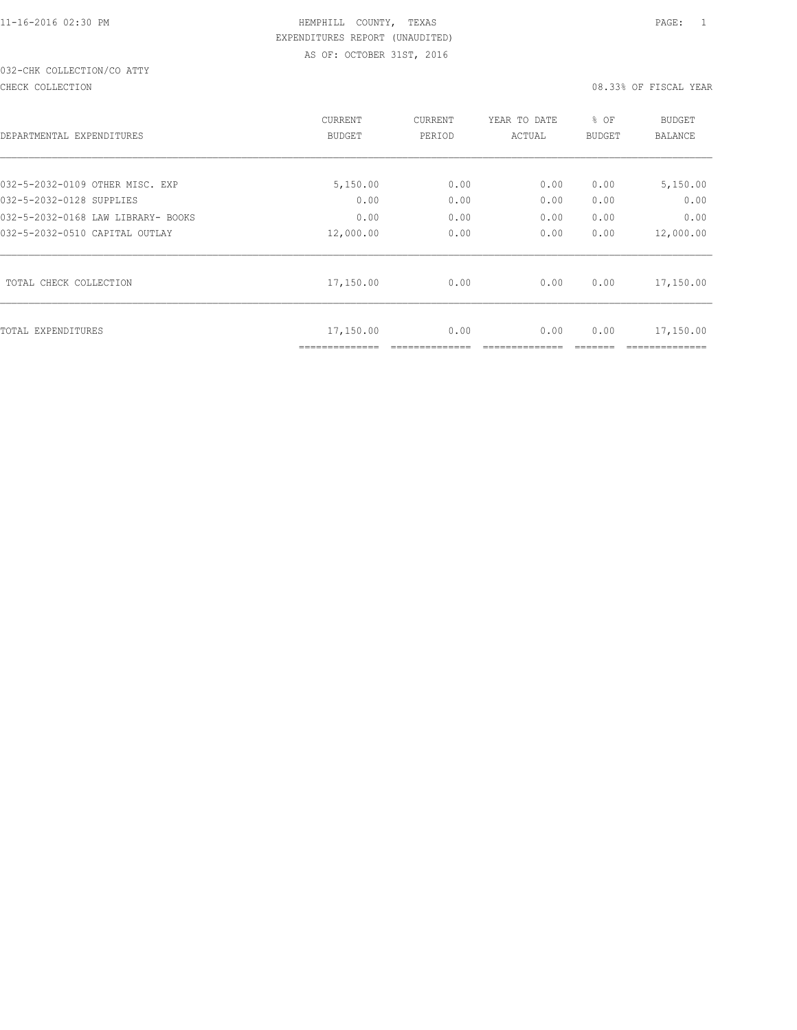# 032-CHK COLLECTION/CO ATTY

#### CHECK COLLECTION 08.33% OF FISCAL YEAR

| DEPARTMENTAL EXPENDITURES          | CURRENT<br><b>BUDGET</b>    | CURRENT<br>PERIOD | YEAR TO DATE<br>ACTUAL | % OF<br><b>BUDGET</b> | BUDGET<br><b>BALANCE</b> |
|------------------------------------|-----------------------------|-------------------|------------------------|-----------------------|--------------------------|
|                                    |                             |                   |                        |                       |                          |
| 032-5-2032-0109 OTHER MISC. EXP    | 5,150.00                    | 0.00              | 0.00                   | 0.00                  | 5,150.00                 |
| 032-5-2032-0128 SUPPLIES           | 0.00                        | 0.00              | 0.00                   | 0.00                  | 0.00                     |
| 032-5-2032-0168 LAW LIBRARY- BOOKS | 0.00                        | 0.00              | 0.00                   | 0.00                  | 0.00                     |
| 032-5-2032-0510 CAPITAL OUTLAY     | 12,000.00                   | 0.00              | 0.00                   | 0.00                  | 12,000.00                |
| TOTAL CHECK COLLECTION             | 17,150.00                   | 0.00              | 0.00                   | 0.00                  | 17,150.00                |
| TOTAL EXPENDITURES                 | 17,150.00<br>============== | 0.00              | 0.00                   | 0.00                  | 17,150.00                |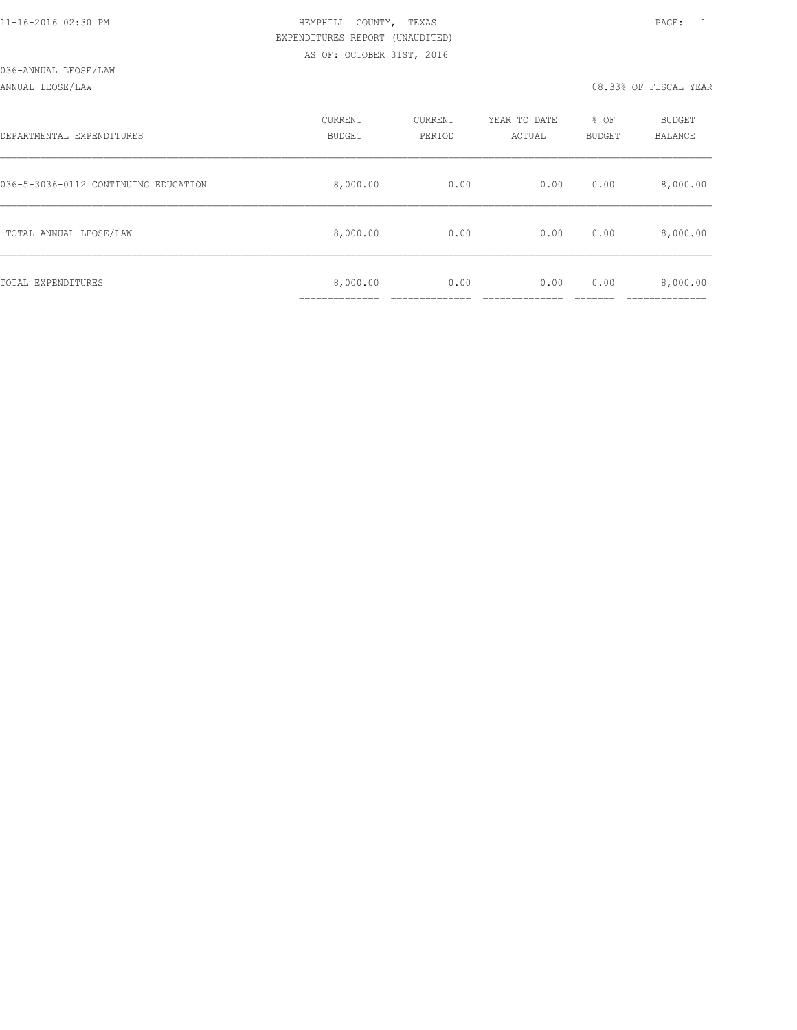#### ANNUAL LEOSE/LAW 08.33% OF FISCAL YEAR

| DEPARTMENTAL EXPENDITURES            | CURRENT<br><b>BUDGET</b> | CURRENT<br>PERIOD | YEAR TO DATE<br>ACTUAL | % OF<br>BUDGET | BUDGET<br>BALANCE |
|--------------------------------------|--------------------------|-------------------|------------------------|----------------|-------------------|
| 036-5-3036-0112 CONTINUING EDUCATION | 8,000.00                 | 0.00              | 0.00                   | 0.00           | 8,000.00          |
| TOTAL ANNUAL LEOSE/LAW               | 8,000.00                 | 0.00              | 0.00                   | 0.00           | 8,000.00          |
| TOTAL EXPENDITURES                   | 8,000.00<br>___________  | 0.00              | 0.00                   | 0.00           | 8,000.00          |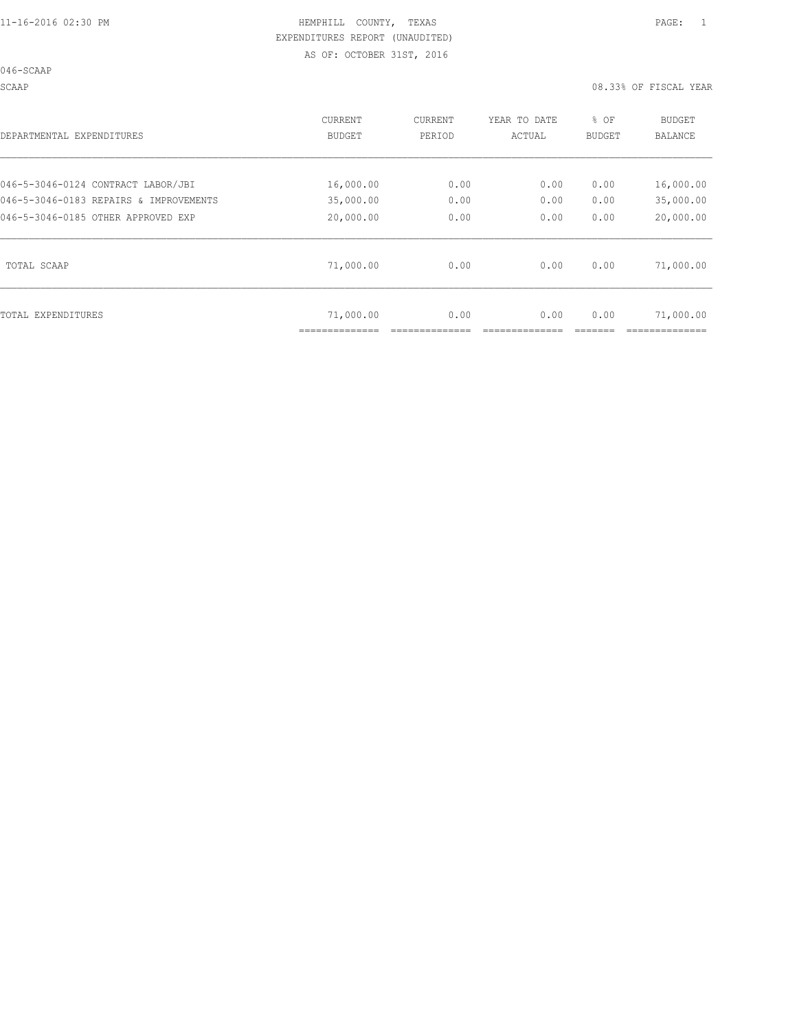046-SCAAP

SCAAP 08.33% OF FISCAL YEAR

| DEPARTMENTAL EXPENDITURES              | <b>CURRENT</b><br><b>BUDGET</b> | CURRENT<br>PERIOD | YEAR TO DATE<br>ACTUAL | % OF<br><b>BUDGET</b> | BUDGET<br><b>BALANCE</b> |
|----------------------------------------|---------------------------------|-------------------|------------------------|-----------------------|--------------------------|
| 046-5-3046-0124 CONTRACT LABOR/JBI     | 16,000.00                       | 0.00              | 0.00                   | 0.00                  | 16,000.00                |
| 046-5-3046-0183 REPAIRS & IMPROVEMENTS | 35,000.00                       | 0.00              | 0.00                   | 0.00                  | 35,000.00                |
| 046-5-3046-0185 OTHER APPROVED EXP     | 20,000.00                       | 0.00              | 0.00                   | 0.00                  | 20,000.00                |
| TOTAL SCAAP                            | 71,000.00                       | 0.00              | 0.00                   | 0.00                  | 71,000.00                |
| TOTAL EXPENDITURES                     | 71,000.00                       | 0.00              | 0.00                   | 0.00                  | 71,000.00                |